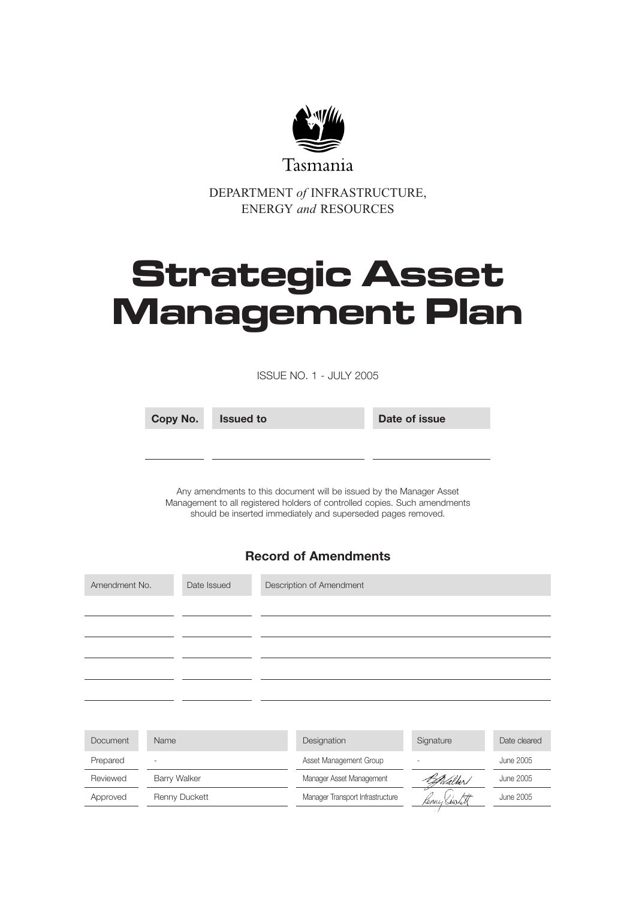

DEPARTMENT *of* INFRASTRUCTURE, ENERGY *and* RESOURCES

# **Strategic Asset Management Plan**

ISSUE NO. 1 - JULY 2005

| Copy No. | <b>Issued to</b> | Date of issue |
|----------|------------------|---------------|
|          |                  |               |

Any amendments to this document will be issued by the Manager Asset Management to all registered holders of controlled copies. Such amendments should be inserted immediately and superseded pages removed.

# **Record of Amendments**

| Amendment No.   |              | Date Issued   | Description of Amendment         |           |                  |
|-----------------|--------------|---------------|----------------------------------|-----------|------------------|
|                 |              |               |                                  |           |                  |
|                 |              |               |                                  |           |                  |
|                 |              |               |                                  |           |                  |
|                 |              |               |                                  |           |                  |
|                 |              |               |                                  |           |                  |
|                 |              |               |                                  |           |                  |
| <b>Document</b> | Name         |               | Designation                      | Signature | Date cleared     |
| Prepared        |              |               | Asset Management Group           |           | <b>June 2005</b> |
| Reviewed        | Barry Walker |               | Manager Asset Management         | Walker/   | June 2005        |
| Approved        |              | Renny Duckett | Manager Transport Infrastructure | Kenny Seu | <b>June 2005</b> |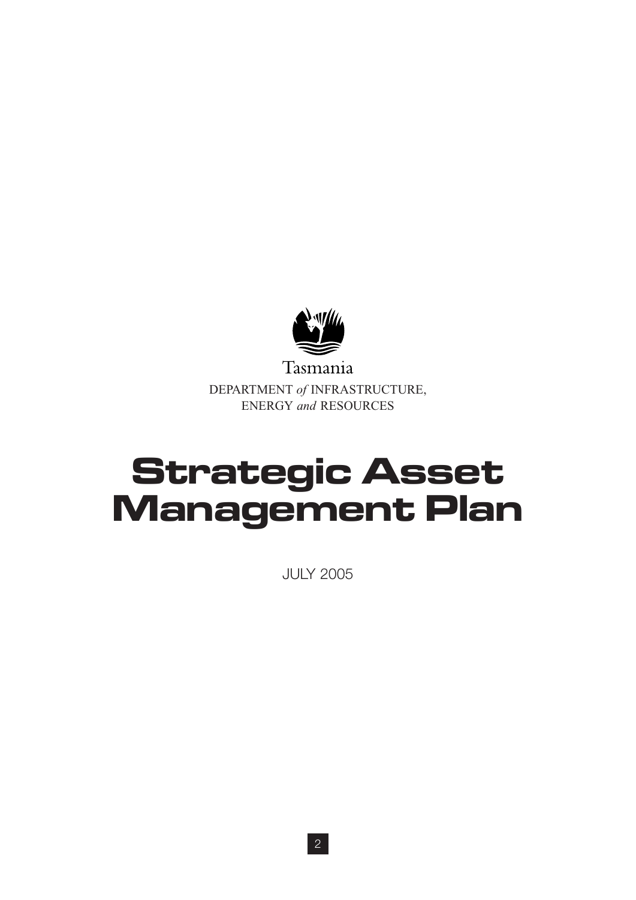

Tasmania DEPARTMENT *of* INFRASTRUCTURE, ENERGY *and* RESOURCES

# **Strategic Asset Management Plan**

JULY 2005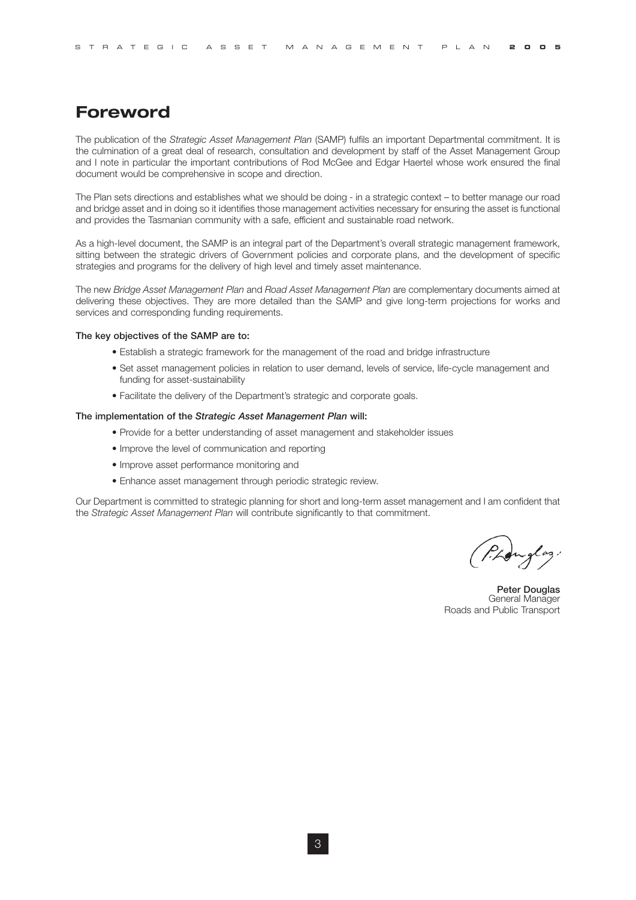# **Foreword**

The publication of the *Strategic Asset Management Plan* (SAMP) fulfils an important Departmental commitment. It is the culmination of a great deal of research, consultation and development by staff of the Asset Management Group and I note in particular the important contributions of Rod McGee and Edgar Haertel whose work ensured the final document would be comprehensive in scope and direction.

The Plan sets directions and establishes what we should be doing - in a strategic context – to better manage our road and bridge asset and in doing so it identifies those management activities necessary for ensuring the asset is functional and provides the Tasmanian community with a safe, efficient and sustainable road network.

As a high-level document, the SAMP is an integral part of the Department's overall strategic management framework, sitting between the strategic drivers of Government policies and corporate plans, and the development of specific strategies and programs for the delivery of high level and timely asset maintenance.

The new *Bridge Asset Management Plan* and *Road Asset Management Plan* are complementary documents aimed at delivering these objectives. They are more detailed than the SAMP and give long-term projections for works and services and corresponding funding requirements.

#### **The key objectives of the SAMP are to:**

- Establish a strategic framework for the management of the road and bridge infrastructure
- Set asset management policies in relation to user demand, levels of service, life-cycle management and funding for asset-sustainability
- Facilitate the delivery of the Department's strategic and corporate goals.

#### **The implementation of the** *Strategic Asset Management Plan* **will:**

- Provide for a better understanding of asset management and stakeholder issues
- Improve the level of communication and reporting
- Improve asset performance monitoring and
- Enhance asset management through periodic strategic review.

Our Department is committed to strategic planning for short and long-term asset management and I am confident that the *Strategic Asset Management Plan* will contribute significantly to that commitment.

inglas.

**Peter Douglas** General Manager Roads and Public Transport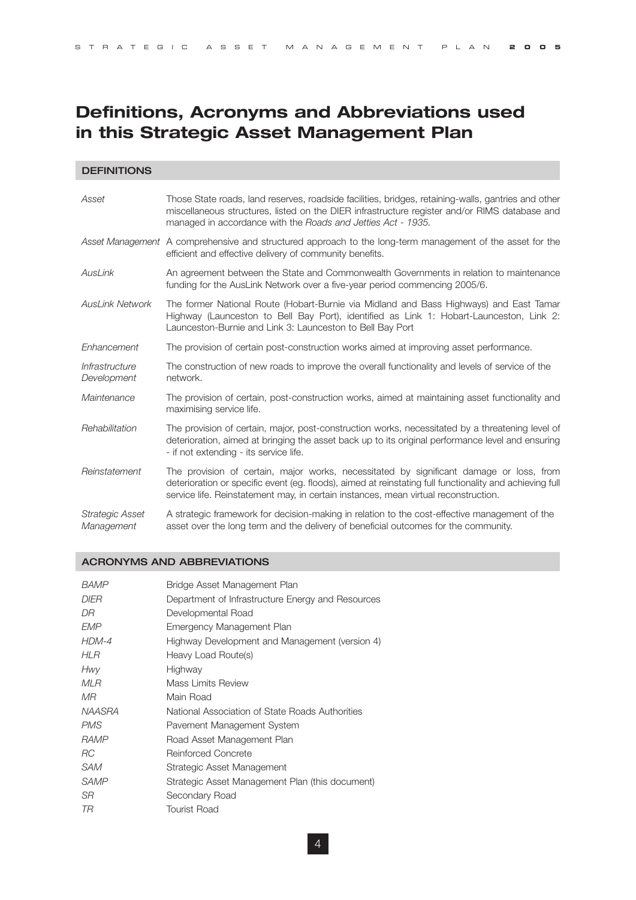# **Definitions, Acronyms and Abbreviations used in this Strategic Asset Management Plan**

#### **DEFINITIONS**

| Asset                                | Those State roads, land reserves, roadside facilities, bridges, retaining-walls, gantries and other<br>miscellaneous structures, listed on the DIER infrastructure register and/or RIMS database and<br>managed in accordance with the Roads and Jetties Act - 1935.                       |
|--------------------------------------|--------------------------------------------------------------------------------------------------------------------------------------------------------------------------------------------------------------------------------------------------------------------------------------------|
|                                      | Asset Management A comprehensive and structured approach to the long-term management of the asset for the<br>efficient and effective delivery of community benefits.                                                                                                                       |
| AusLink                              | An agreement between the State and Commonwealth Governments in relation to maintenance<br>funding for the AusLink Network over a five-year period commencing 2005/6.                                                                                                                       |
| <b>AusLink Network</b>               | The former National Route (Hobart-Burnie via Midland and Bass Highways) and East Tamar<br>Highway (Launceston to Bell Bay Port), identified as Link 1: Hobart-Launceston, Link 2:<br>Launceston-Burnie and Link 3: Launceston to Bell Bay Port                                             |
| Enhancement                          | The provision of certain post-construction works aimed at improving asset performance.                                                                                                                                                                                                     |
| Infrastructure<br>Development        | The construction of new roads to improve the overall functionality and levels of service of the<br>network.                                                                                                                                                                                |
| Maintenance                          | The provision of certain, post-construction works, aimed at maintaining asset functionality and<br>maximising service life.                                                                                                                                                                |
| Rehabilitation                       | The provision of certain, major, post-construction works, necessitated by a threatening level of<br>deterioration, aimed at bringing the asset back up to its original performance level and ensuring<br>- if not extending - its service life.                                            |
| Reinstatement                        | The provision of certain, major works, necessitated by significant damage or loss, from<br>deterioration or specific event (eg. floods), aimed at reinstating full functionality and achieving full<br>service life. Reinstatement may, in certain instances, mean virtual reconstruction. |
| <b>Strategic Asset</b><br>Management | A strategic framework for decision-making in relation to the cost-effective management of the<br>asset over the long term and the delivery of beneficial outcomes for the community.                                                                                                       |

#### ACRONYMS AND ABBREVIATIONS

| <b>BAMP</b> | Bridge Asset Management Plan                      |
|-------------|---------------------------------------------------|
| DIER        | Department of Infrastructure Energy and Resources |
| DR          | Developmental Road                                |
| <b>EMP</b>  | Emergency Management Plan                         |
| $HDM-4$     | Highway Development and Management (version 4)    |
| HLR         | Heavy Load Route(s)                               |
| Hwy         | Highway                                           |
| MLR         | Mass Limits Review                                |
| МR          | Main Road                                         |
| NAASRA      | National Association of State Roads Authorities   |
| PMS         | Pavement Management System                        |
| <b>RAMP</b> | Road Asset Management Plan                        |
| RC          | Reinforced Concrete                               |
| SAM         | Strategic Asset Management                        |
| <b>SAMP</b> | Strategic Asset Management Plan (this document)   |
| SR          | Secondary Road                                    |
| TR          | Tourist Road                                      |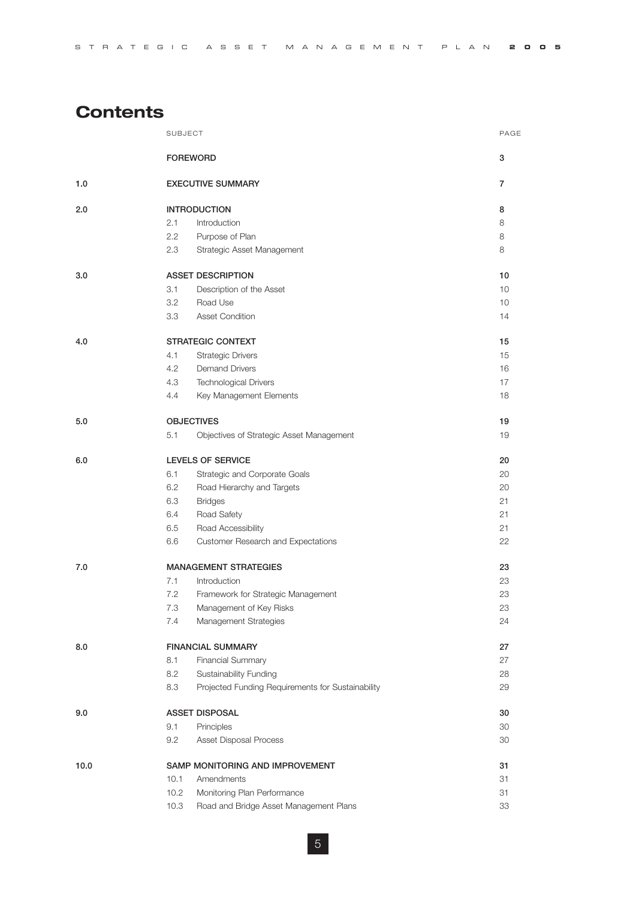| STRATEGIC ASSET MANAGEMENT PLAN <b>2005</b> |  |  |  |  |  |  |  |  |  |  |  |  |  |  |  |  |  |  |  |  |  |  |  |  |  |  |  |  |  |  |  |  |  |
|---------------------------------------------|--|--|--|--|--|--|--|--|--|--|--|--|--|--|--|--|--|--|--|--|--|--|--|--|--|--|--|--|--|--|--|--|--|
|---------------------------------------------|--|--|--|--|--|--|--|--|--|--|--|--|--|--|--|--|--|--|--|--|--|--|--|--|--|--|--|--|--|--|--|--|--|

# **Contents**

|      | <b>SUBJECT</b> |                                                   | PAGE |
|------|----------------|---------------------------------------------------|------|
|      |                | <b>FOREWORD</b>                                   | 3    |
| 1.0  |                | <b>EXECUTIVE SUMMARY</b>                          | 7    |
| 2.0  |                | <b>INTRODUCTION</b>                               | 8    |
|      | 2.1            | Introduction                                      | 8    |
|      | 2.2            | Purpose of Plan                                   | 8    |
|      | 2.3            | Strategic Asset Management                        | 8    |
| 3.0  |                | <b>ASSET DESCRIPTION</b>                          | 10   |
|      | 3.1            | Description of the Asset                          | 10   |
|      | 3.2            | Road Use                                          | 10   |
|      | 3.3            | Asset Condition                                   | 14   |
| 4.0  |                | <b>STRATEGIC CONTEXT</b>                          | 15   |
|      | 4.1            | <b>Strategic Drivers</b>                          | 15   |
|      | 4.2            | <b>Demand Drivers</b>                             | 16   |
|      | 4.3            | <b>Technological Drivers</b>                      | 17   |
|      | 4.4            | Key Management Elements                           | 18   |
| 5.0  |                | <b>OBJECTIVES</b>                                 | 19   |
|      | 5.1            | Objectives of Strategic Asset Management          | 19   |
| 6.0  |                | <b>LEVELS OF SERVICE</b>                          | 20   |
|      | 6.1            | Strategic and Corporate Goals                     | 20   |
|      | 6.2            | Road Hierarchy and Targets                        | 20   |
|      | 6.3            | <b>Bridges</b>                                    | 21   |
|      | 6.4            | Road Safety                                       | 21   |
|      | 6.5            | Road Accessibility                                | 21   |
|      | 6.6            | Customer Research and Expectations                | 22   |
| 7.0  |                | <b>MANAGEMENT STRATEGIES</b>                      | 23   |
|      | 7.1            | Introduction                                      | 23   |
|      | 7.2            | Framework for Strategic Management                | 23   |
|      | 7.3            | Management of Key Risks                           | 23   |
|      | 7.4            | Management Strategies                             | 24   |
| 8.0  |                | <b>FINANCIAL SUMMARY</b>                          | 27   |
|      | 8.1            | Financial Summary                                 | 27   |
|      | 8.2            | Sustainability Funding                            | 28   |
|      | 8.3            | Projected Funding Requirements for Sustainability | 29   |
| 9.0  |                | <b>ASSET DISPOSAL</b>                             | 30   |
|      | 9.1            | Principles                                        | 30   |
|      | 9.2            | Asset Disposal Process                            | 30   |
| 10.0 |                | SAMP MONITORING AND IMPROVEMENT                   | 31   |
|      | 10.1           | Amendments                                        | 31   |
|      | 10.2           | Monitoring Plan Performance                       | 31   |
|      | 10.3           | Road and Bridge Asset Management Plans            | 33   |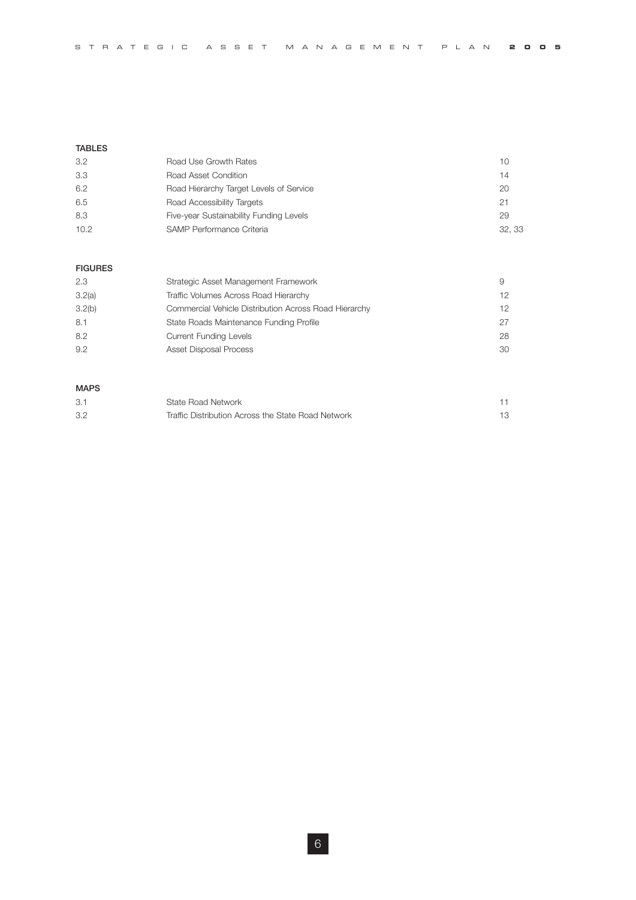| STRATEGIC ASSET MANAGEMENT PLAN 2005 |  |
|--------------------------------------|--|
|--------------------------------------|--|

#### **TABLES**

| 3.2  | Road Use Growth Rates                   | 10     |
|------|-----------------------------------------|--------|
| 3.3  | Road Asset Condition                    | 14     |
| 6.2  | Road Hierarchy Target Levels of Service | 20     |
| 6.5  | Road Accessibility Targets              | 21     |
| 8.3  | Five-year Sustainability Funding Levels | 29     |
| 10.2 | SAMP Performance Criteria               | 32, 33 |

#### **FIGURES**

| 2.3    | Strategic Asset Management Framework                  |                 |
|--------|-------------------------------------------------------|-----------------|
| 3.2(a) | Traffic Volumes Across Road Hierarchy                 | 12 <sup>2</sup> |
| 3.2(b) | Commercial Vehicle Distribution Across Road Hierarchy | 12 <sup>1</sup> |
| 8.1    | State Roads Maintenance Funding Profile               | 27              |
| 8.2    | <b>Current Funding Levels</b>                         | 28              |
| 9.2    | Asset Disposal Process                                | 30              |

#### **MAPS**

| 3.1 | State Road Network                                 |    |
|-----|----------------------------------------------------|----|
| 3.2 | Traffic Distribution Across the State Road Network | 13 |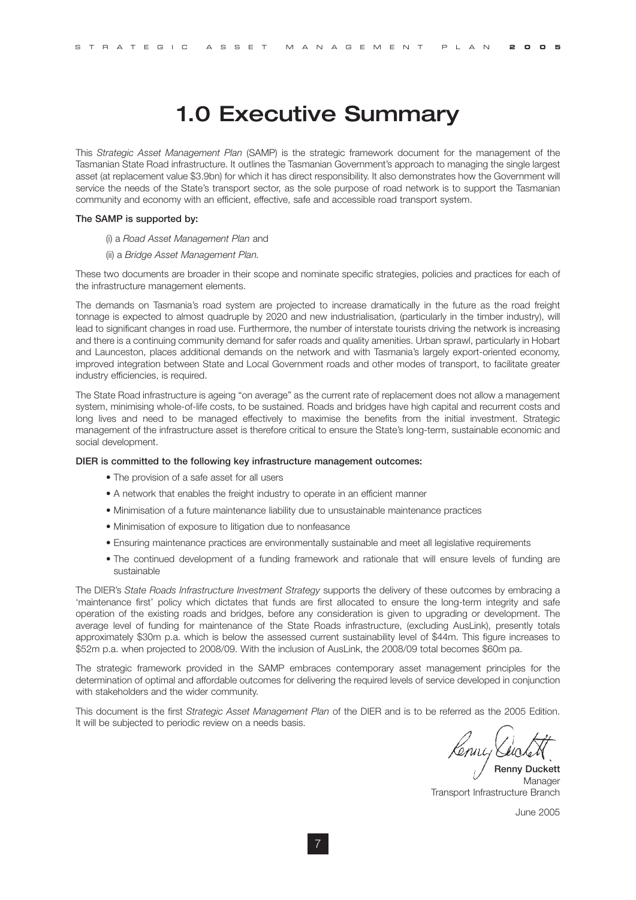# 1.0 Executive Summary

This *Strategic Asset Management Plan* (SAMP) is the strategic framework document for the management of the Tasmanian State Road infrastructure. It outlines the Tasmanian Government's approach to managing the single largest asset (at replacement value \$3.9bn) for which it has direct responsibility. It also demonstrates how the Government will service the needs of the State's transport sector, as the sole purpose of road network is to support the Tasmanian community and economy with an efficient, effective, safe and accessible road transport system.

#### **The SAMP is supported by:**

- (i) a *Road Asset Management Plan* and
- (ii) a *Bridge Asset Management Plan.*

These two documents are broader in their scope and nominate specific strategies, policies and practices for each of the infrastructure management elements.

The demands on Tasmania's road system are projected to increase dramatically in the future as the road freight tonnage is expected to almost quadruple by 2020 and new industrialisation, (particularly in the timber industry), will lead to significant changes in road use. Furthermore, the number of interstate tourists driving the network is increasing and there is a continuing community demand for safer roads and quality amenities. Urban sprawl, particularly in Hobart and Launceston, places additional demands on the network and with Tasmania's largely export-oriented economy, improved integration between State and Local Government roads and other modes of transport, to facilitate greater industry efficiencies, is required.

The State Road infrastructure is ageing "on average" as the current rate of replacement does not allow a management system, minimising whole-of-life costs, to be sustained. Roads and bridges have high capital and recurrent costs and long lives and need to be managed effectively to maximise the benefits from the initial investment. Strategic management of the infrastructure asset is therefore critical to ensure the State's long-term, sustainable economic and social development.

#### **DIER is committed to the following key infrastructure management outcomes:**

- The provision of a safe asset for all users
- A network that enables the freight industry to operate in an efficient manner
- Minimisation of a future maintenance liability due to unsustainable maintenance practices
- Minimisation of exposure to litigation due to nonfeasance
- Ensuring maintenance practices are environmentally sustainable and meet all legislative requirements
- The continued development of a funding framework and rationale that will ensure levels of funding are sustainable

The DIER's *State Roads Infrastructure Investment Strategy* supports the delivery of these outcomes by embracing a 'maintenance first' policy which dictates that funds are first allocated to ensure the long-term integrity and safe operation of the existing roads and bridges, before any consideration is given to upgrading or development. The average level of funding for maintenance of the State Roads infrastructure, (excluding AusLink), presently totals approximately \$30m p.a. which is below the assessed current sustainability level of \$44m. This figure increases to \$52m p.a. when projected to 2008/09. With the inclusion of AusLink, the 2008/09 total becomes \$60m pa.

The strategic framework provided in the SAMP embraces contemporary asset management principles for the determination of optimal and affordable outcomes for delivering the required levels of service developed in conjunction with stakeholders and the wider community.

This document is the first *Strategic Asset Management Plan* of the DIER and is to be referred as the 2005 Edition. It will be subjected to periodic review on a needs basis.

lenny Luc

**Renny Duckett** Manager Transport Infrastructure Branch

June 2005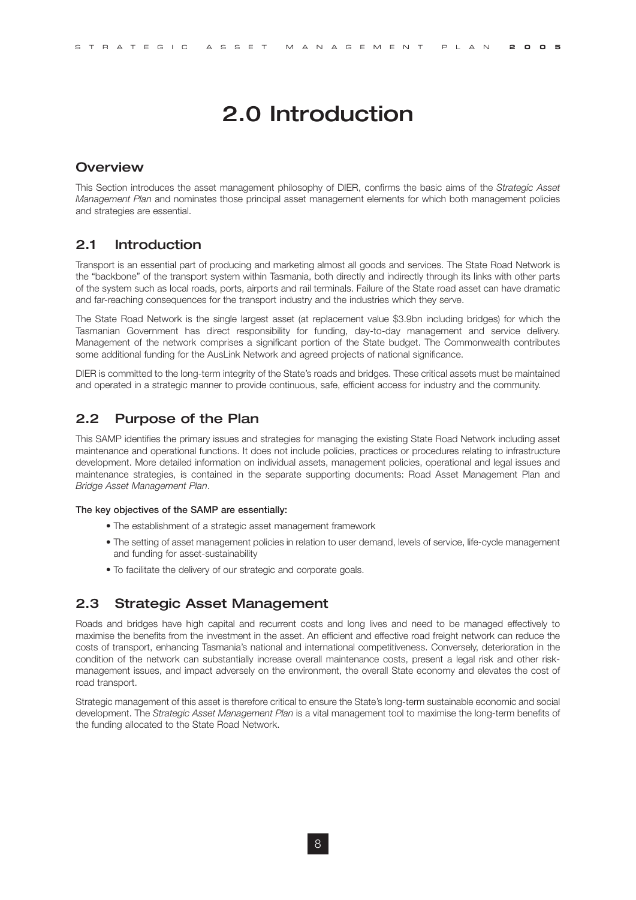# 2.0 Introduction

## **Overview**

This Section introduces the asset management philosophy of DIER, confirms the basic aims of the *Strategic Asset Management Plan* and nominates those principal asset management elements for which both management policies and strategies are essential.

# 2.1 Introduction

Transport is an essential part of producing and marketing almost all goods and services. The State Road Network is the "backbone" of the transport system within Tasmania, both directly and indirectly through its links with other parts of the system such as local roads, ports, airports and rail terminals. Failure of the State road asset can have dramatic and far-reaching consequences for the transport industry and the industries which they serve.

The State Road Network is the single largest asset (at replacement value \$3.9bn including bridges) for which the Tasmanian Government has direct responsibility for funding, day-to-day management and service delivery. Management of the network comprises a significant portion of the State budget. The Commonwealth contributes some additional funding for the AusLink Network and agreed projects of national significance.

DIER is committed to the long-term integrity of the State's roads and bridges. These critical assets must be maintained and operated in a strategic manner to provide continuous, safe, efficient access for industry and the community.

# 2.2 Purpose of the Plan

This SAMP identifies the primary issues and strategies for managing the existing State Road Network including asset maintenance and operational functions. It does not include policies, practices or procedures relating to infrastructure development. More detailed information on individual assets, management policies, operational and legal issues and maintenance strategies, is contained in the separate supporting documents: Road Asset Management Plan and *Bridge Asset Management Plan*.

#### **The key objectives of the SAMP are essentially:**

- The establishment of a strategic asset management framework
- The setting of asset management policies in relation to user demand, levels of service, life-cycle management and funding for asset-sustainability
- To facilitate the delivery of our strategic and corporate goals.

## 2.3 Strategic Asset Management

Roads and bridges have high capital and recurrent costs and long lives and need to be managed effectively to maximise the benefits from the investment in the asset. An efficient and effective road freight network can reduce the costs of transport, enhancing Tasmania's national and international competitiveness. Conversely, deterioration in the condition of the network can substantially increase overall maintenance costs, present a legal risk and other riskmanagement issues, and impact adversely on the environment, the overall State economy and elevates the cost of road transport.

Strategic management of this asset is therefore critical to ensure the State's long-term sustainable economic and social development. The *Strategic Asset Management Plan* is a vital management tool to maximise the long-term benefits of the funding allocated to the State Road Network.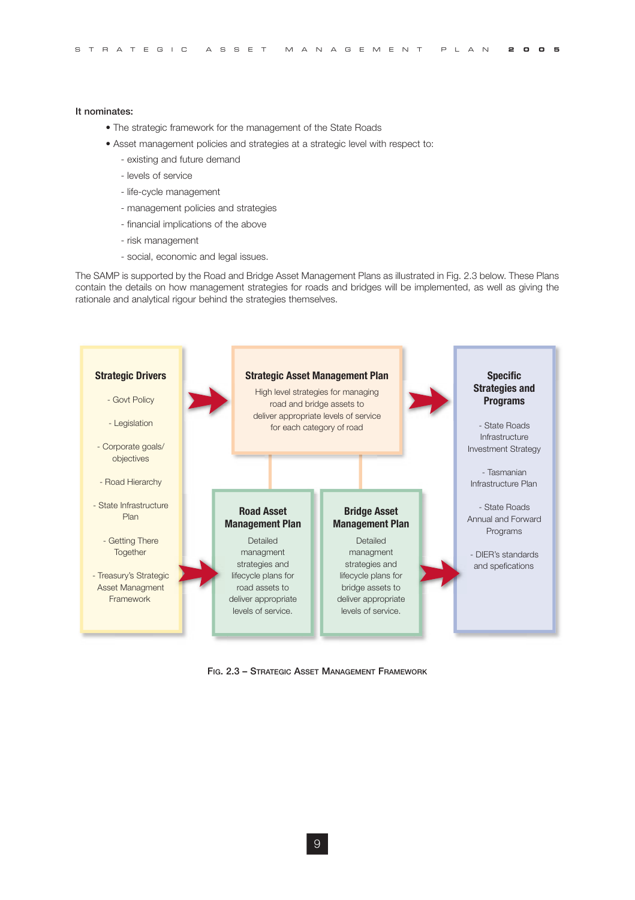#### It nominates:

- The strategic framework for the management of the State Roads
- Asset management policies and strategies at a strategic level with respect to:
	- existing and future demand
	- levels of service
	- life-cycle management
	- management policies and strategies
	- financial implications of the above
	- risk management
	- social, economic and legal issues.

The SAMP is supported by the Road and Bridge Asset Management Plans as illustrated in Fig. 2.3 below. These Plans contain the details on how management strategies for roads and bridges will be implemented, as well as giving the rationale and analytical rigour behind the strategies themselves.



FIG. 2.3 – STRATEGIC ASSET MANAGEMENT FRAMEWORK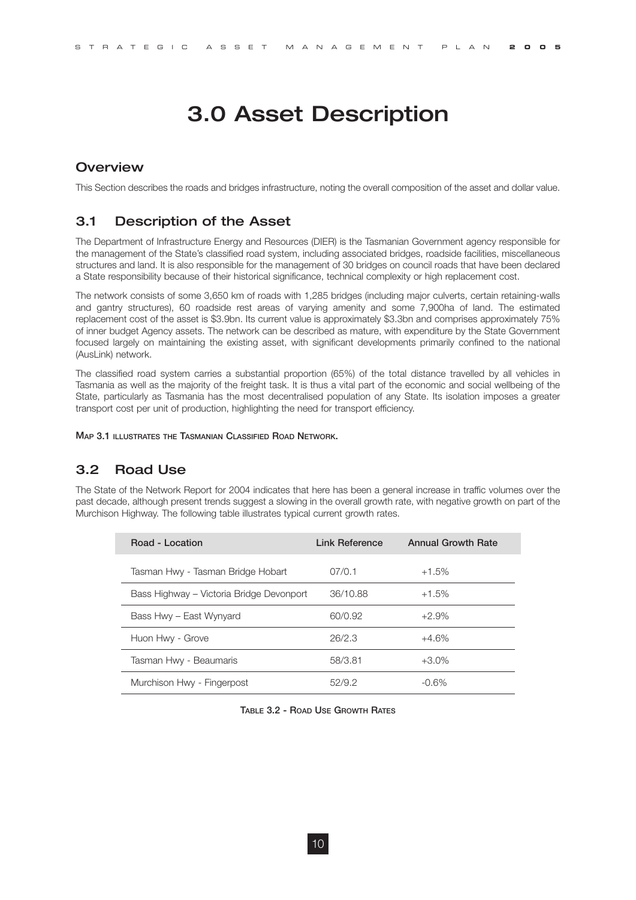# 3.0 Asset Description

#### **Overview**

This Section describes the roads and bridges infrastructure, noting the overall composition of the asset and dollar value.

### 3.1 Description of the Asset

The Department of Infrastructure Energy and Resources (DIER) is the Tasmanian Government agency responsible for the management of the State's classified road system, including associated bridges, roadside facilities, miscellaneous structures and land. It is also responsible for the management of 30 bridges on council roads that have been declared a State responsibility because of their historical significance, technical complexity or high replacement cost.

The network consists of some 3,650 km of roads with 1,285 bridges (including major culverts, certain retaining-walls and gantry structures), 60 roadside rest areas of varying amenity and some 7,900ha of land. The estimated replacement cost of the asset is \$3.9bn. Its current value is approximately \$3.3bn and comprises approximately 75% of inner budget Agency assets. The network can be described as mature, with expenditure by the State Government focused largely on maintaining the existing asset, with significant developments primarily confined to the national (AusLink) network.

The classified road system carries a substantial proportion (65%) of the total distance travelled by all vehicles in Tasmania as well as the majority of the freight task. It is thus a vital part of the economic and social wellbeing of the State, particularly as Tasmania has the most decentralised population of any State. Its isolation imposes a greater transport cost per unit of production, highlighting the need for transport efficiency.

**MAP 3.1 ILLUSTRATES THE TASMANIAN CLASSIFIED ROAD NETWORK.**

### 3.2 Road Use

The State of the Network Report for 2004 indicates that here has been a general increase in traffic volumes over the past decade, although present trends suggest a slowing in the overall growth rate, with negative growth on part of the Murchison Highway. The following table illustrates typical current growth rates.

| Road - Location                          | Link Reference | <b>Annual Growth Rate</b> |
|------------------------------------------|----------------|---------------------------|
| Tasman Hwy - Tasman Bridge Hobart        | 07/0.1         | $+1.5%$                   |
| Bass Highway – Victoria Bridge Devonport | 36/10.88       | $+1.5%$                   |
| Bass Hwy - East Wynyard                  | 60/0.92        | $+2.9%$                   |
| Huon Hwy - Grove                         | 26/2.3         | $+4.6%$                   |
| Tasman Hwy - Beaumaris                   | 58/3.81        | $+3.0\%$                  |
| Murchison Hwy - Fingerpost               | 52/9.2         | $-0.6%$                   |

**TABLE 3.2 - ROAD USE GROWTH RATES**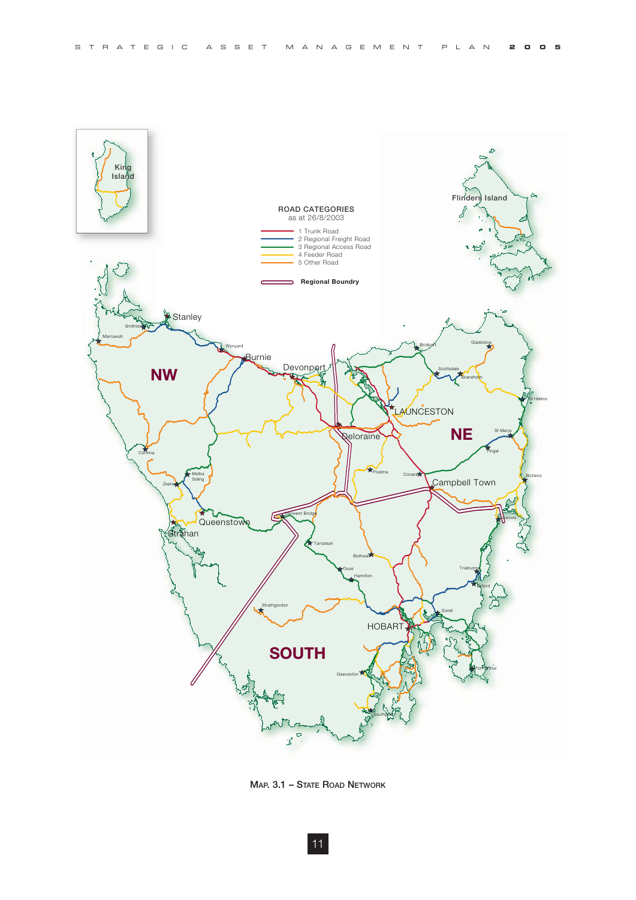



**MAP. 3.1 – STATE ROAD NETWORK**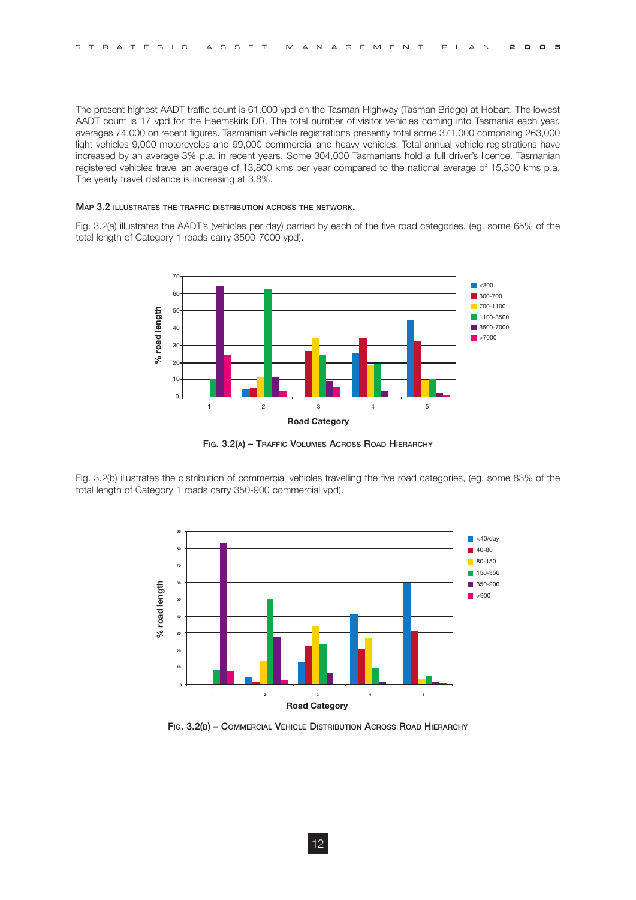The present highest AADT traffic count is 61,000 vpd on the Tasman Highway (Tasman Bridge) at Hobart. The lowest AADT count is 17 vpd for the Heemskirk DR. The total number of visitor vehicles coming into Tasmania each year, averages 74,000 on recent figures. Tasmanian vehicle registrations presently total some 371,000 comprising 263,000 light vehicles 9,000 motorcycles and 99,000 commercial and heavy vehicles. Total annual vehicle registrations have increased by an average 3% p.a. in recent years. Some 304,000 Tasmanians hold a full driver's licence. Tasmanian registered vehicles travel an average of 13,800 kms per year compared to the national average of 15,300 kms p.a. The yearly travel distance is increasing at 3.8%.

#### **MAP 3.2 ILLUSTRATES THE TRAFFIC DISTRIBUTION ACROSS THE NETWORK.**

Fig. 3.2(a) illustrates the AADT's (vehicles per day) carried by each of the five road categories, (eg. some 65% of the total length of Category 1 roads carry 3500-7000 vpd).



**FIG. 3.2(A) – TRAFFIC VOLUMES ACROSS ROAD HIERARCHY**

Fig. 3.2(b) illustrates the distribution of commercial vehicles travelling the five road categories, (eg. some 83% of the total length of Category 1 roads carry 350-900 commercial vpd).



**FIG. 3.2(B) – COMMERCIAL VEHICLE DISTRIBUTION ACROSS ROAD HIERARCHY**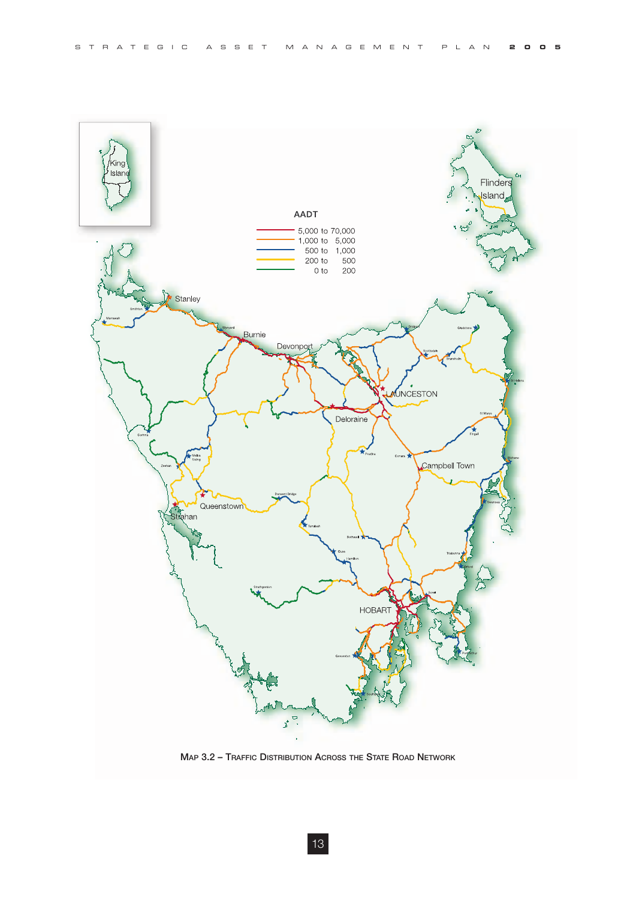

**MAP 3.2 – TRAFFIC DISTRIBUTION ACROSS THE STATE ROAD NETWORK**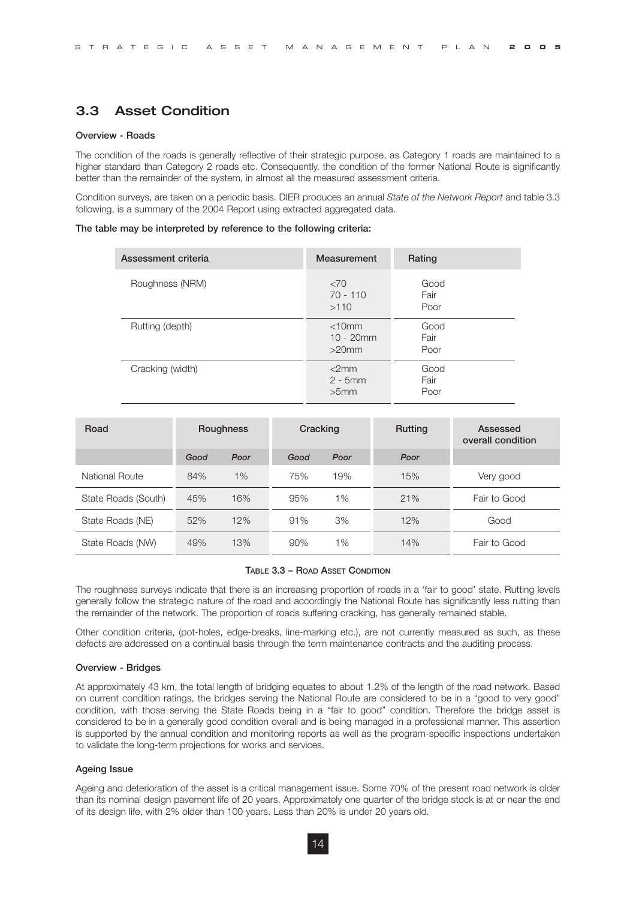# 3.3 Asset Condition

#### **Overview - Roads**

The condition of the roads is generally reflective of their strategic purpose, as Category 1 roads are maintained to a higher standard than Category 2 roads etc. Consequently, the condition of the former National Route is significantly better than the remainder of the system, in almost all the measured assessment criteria.

Condition surveys, are taken on a periodic basis. DIER produces an annual *State of the Network Report* and table 3.3 following, is a summary of the 2004 Report using extracted aggregated data.

#### **The table may be interpreted by reference to the following criteria:**

| Assessment criteria | Measurement                             | Rating               |
|---------------------|-----------------------------------------|----------------------|
| Roughness (NRM)     | <70<br>$70 - 110$<br>>110               | Good<br>Fair<br>Poor |
| Rutting (depth)     | $<$ 10 $mm$<br>$10 - 20$ mm<br>$>20$ mm | Good<br>Fair<br>Poor |
| Cracking (width)    | $<$ 2mm<br>$2 - 5mm$<br>>5mm            | Good<br>Fair<br>Poor |

| Road                |      | <b>Roughness</b> | Cracking |       | <b>Rutting</b> | Assessed<br>overall condition |
|---------------------|------|------------------|----------|-------|----------------|-------------------------------|
|                     | Good | Poor             | Good     | Poor  | Poor           |                               |
| National Route      | 84%  | 1%               | 75%      | 19%   | 15%            | Very good                     |
| State Roads (South) | 45%  | 16%              | 95%      | $1\%$ | 21%            | Fair to Good                  |
| State Roads (NE)    | 52%  | 12%              | 91%      | 3%    | 12%            | Good                          |
| State Roads (NW)    | 49%  | 13%              | 90%      | 1%    | 14%            | Fair to Good                  |

#### **TABLE 3.3 – ROAD ASSET CONDITION**

The roughness surveys indicate that there is an increasing proportion of roads in a 'fair to good' state. Rutting levels generally follow the strategic nature of the road and accordingly the National Route has significantly less rutting than the remainder of the network. The proportion of roads suffering cracking, has generally remained stable.

Other condition criteria, (pot-holes, edge-breaks, line-marking etc.), are not currently measured as such, as these defects are addressed on a continual basis through the term maintenance contracts and the auditing process.

#### **Overview - Bridges**

At approximately 43 km, the total length of bridging equates to about 1.2% of the length of the road network. Based on current condition ratings, the bridges serving the National Route are considered to be in a "good to very good" condition, with those serving the State Roads being in a "fair to good" condition. Therefore the bridge asset is considered to be in a generally good condition overall and is being managed in a professional manner. This assertion is supported by the annual condition and monitoring reports as well as the program-specific inspections undertaken to validate the long-term projections for works and services.

#### **Ageing Issue**

Ageing and deterioration of the asset is a critical management issue. Some 70% of the present road network is older than its nominal design pavement life of 20 years. Approximately one quarter of the bridge stock is at or near the end of its design life, with 2% older than 100 years. Less than 20% is under 20 years old.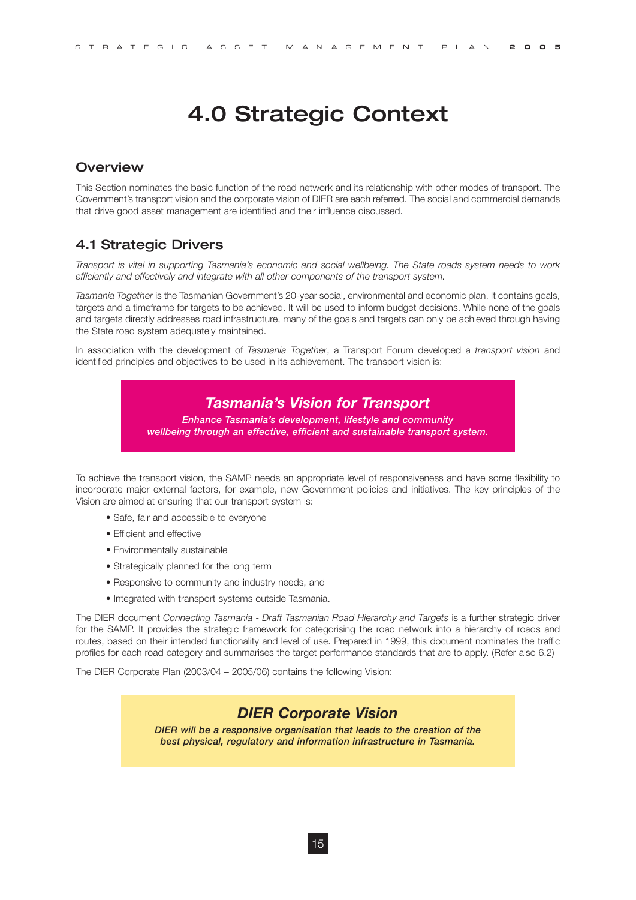# 4.0 Strategic Context

#### **Overview**

This Section nominates the basic function of the road network and its relationship with other modes of transport. The Government's transport vision and the corporate vision of DIER are each referred. The social and commercial demands that drive good asset management are identified and their influence discussed.

## 4.1 Strategic Drivers

*Transport is vital in supporting Tasmania's economic and social wellbeing. The State roads system needs to work efficiently and effectively and integrate with all other components of the transport system.*

*Tasmania Together* is the Tasmanian Government's 20-year social, environmental and economic plan. It contains goals, targets and a timeframe for targets to be achieved. It will be used to inform budget decisions. While none of the goals and targets directly addresses road infrastructure, many of the goals and targets can only be achieved through having the State road system adequately maintained.

In association with the development of *Tasmania Together*, a Transport Forum developed a *transport vision* and identified principles and objectives to be used in its achievement. The transport vision is:

# *Tasmania's Vision for Transport*

*Enhance Tasmania's development, lifestyle and community wellbeing through an effective, efficient and sustainable transport system.*

To achieve the transport vision, the SAMP needs an appropriate level of responsiveness and have some flexibility to incorporate major external factors, for example, new Government policies and initiatives. The key principles of the Vision are aimed at ensuring that our transport system is:

- Safe, fair and accessible to everyone
- Efficient and effective
- Environmentally sustainable
- Strategically planned for the long term
- Responsive to community and industry needs, and
- Integrated with transport systems outside Tasmania.

The DIER document *Connecting Tasmania - Draft Tasmanian Road Hierarchy and Targets* is a further strategic driver for the SAMP. It provides the strategic framework for categorising the road network into a hierarchy of roads and routes, based on their intended functionality and level of use. Prepared in 1999, this document nominates the traffic profiles for each road category and summarises the target performance standards that are to apply. (Refer also 6.2)

The DIER Corporate Plan (2003/04 – 2005/06) contains the following Vision:

# *DIER Corporate Vision*

*DIER will be a responsive organisation that leads to the creation of the best physical, regulatory and information infrastructure in Tasmania.*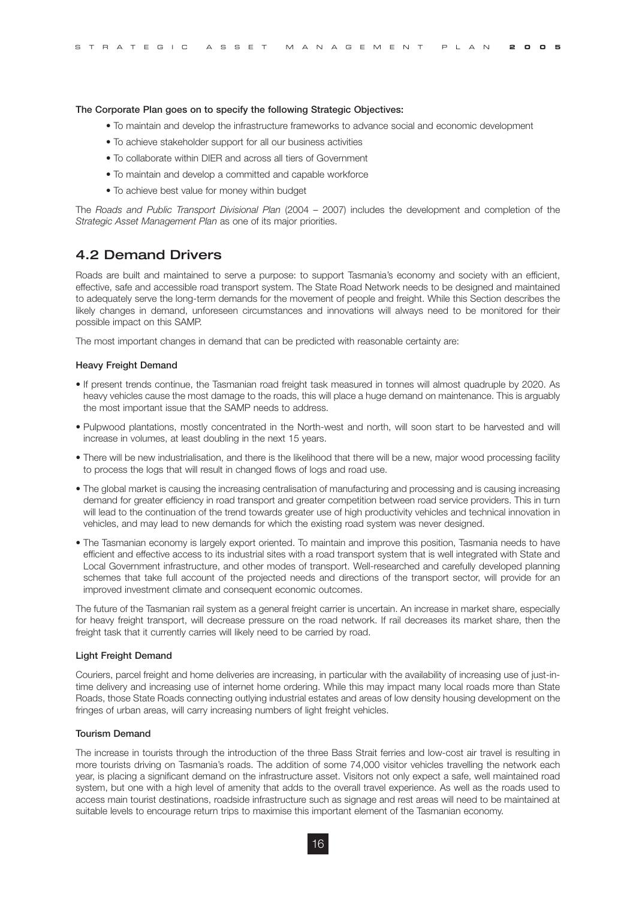#### **The Corporate Plan goes on to specify the following Strategic Objectives:**

- To maintain and develop the infrastructure frameworks to advance social and economic development
- To achieve stakeholder support for all our business activities
- To collaborate within DIER and across all tiers of Government
- To maintain and develop a committed and capable workforce
- To achieve best value for money within budget

The *Roads and Public Transport Divisional Plan* (2004 – 2007) includes the development and completion of the *Strategic Asset Management Plan* as one of its major priorities.

### 4.2 Demand Drivers

Roads are built and maintained to serve a purpose: to support Tasmania's economy and society with an efficient, effective, safe and accessible road transport system. The State Road Network needs to be designed and maintained to adequately serve the long-term demands for the movement of people and freight. While this Section describes the likely changes in demand, unforeseen circumstances and innovations will always need to be monitored for their possible impact on this SAMP.

The most important changes in demand that can be predicted with reasonable certainty are:

#### **Heavy Freight Demand**

- If present trends continue, the Tasmanian road freight task measured in tonnes will almost quadruple by 2020. As heavy vehicles cause the most damage to the roads, this will place a huge demand on maintenance. This is arguably the most important issue that the SAMP needs to address.
- Pulpwood plantations, mostly concentrated in the North-west and north, will soon start to be harvested and will increase in volumes, at least doubling in the next 15 years.
- There will be new industrialisation, and there is the likelihood that there will be a new, major wood processing facility to process the logs that will result in changed flows of logs and road use.
- The global market is causing the increasing centralisation of manufacturing and processing and is causing increasing demand for greater efficiency in road transport and greater competition between road service providers. This in turn will lead to the continuation of the trend towards greater use of high productivity vehicles and technical innovation in vehicles, and may lead to new demands for which the existing road system was never designed.
- The Tasmanian economy is largely export oriented. To maintain and improve this position, Tasmania needs to have efficient and effective access to its industrial sites with a road transport system that is well integrated with State and Local Government infrastructure, and other modes of transport. Well-researched and carefully developed planning schemes that take full account of the projected needs and directions of the transport sector, will provide for an improved investment climate and consequent economic outcomes.

The future of the Tasmanian rail system as a general freight carrier is uncertain. An increase in market share, especially for heavy freight transport, will decrease pressure on the road network. If rail decreases its market share, then the freight task that it currently carries will likely need to be carried by road.

#### **Light Freight Demand**

Couriers, parcel freight and home deliveries are increasing, in particular with the availability of increasing use of just-intime delivery and increasing use of internet home ordering. While this may impact many local roads more than State Roads, those State Roads connecting outlying industrial estates and areas of low density housing development on the fringes of urban areas, will carry increasing numbers of light freight vehicles.

#### **Tourism Demand**

The increase in tourists through the introduction of the three Bass Strait ferries and low-cost air travel is resulting in more tourists driving on Tasmania's roads. The addition of some 74,000 visitor vehicles travelling the network each year, is placing a significant demand on the infrastructure asset. Visitors not only expect a safe, well maintained road system, but one with a high level of amenity that adds to the overall travel experience. As well as the roads used to access main tourist destinations, roadside infrastructure such as signage and rest areas will need to be maintained at suitable levels to encourage return trips to maximise this important element of the Tasmanian economy.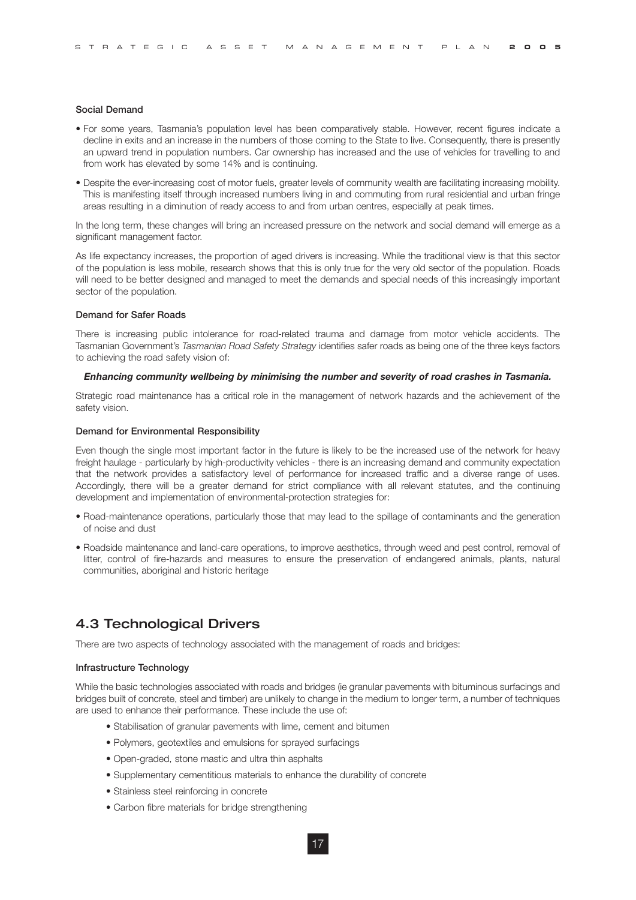#### **Social Demand**

- For some years, Tasmania's population level has been comparatively stable. However, recent figures indicate a decline in exits and an increase in the numbers of those coming to the State to live. Consequently, there is presently an upward trend in population numbers. Car ownership has increased and the use of vehicles for travelling to and from work has elevated by some 14% and is continuing.
- Despite the ever-increasing cost of motor fuels, greater levels of community wealth are facilitating increasing mobility. This is manifesting itself through increased numbers living in and commuting from rural residential and urban fringe areas resulting in a diminution of ready access to and from urban centres, especially at peak times.

In the long term, these changes will bring an increased pressure on the network and social demand will emerge as a significant management factor.

As life expectancy increases, the proportion of aged drivers is increasing. While the traditional view is that this sector of the population is less mobile, research shows that this is only true for the very old sector of the population. Roads will need to be better designed and managed to meet the demands and special needs of this increasingly important sector of the population.

#### **Demand for Safer Roads**

There is increasing public intolerance for road-related trauma and damage from motor vehicle accidents. The Tasmanian Government's *Tasmanian Road Safety Strategy* identifies safer roads as being one of the three keys factors to achieving the road safety vision of:

#### *Enhancing community wellbeing by minimising the number and severity of road crashes in Tasmania.*

Strategic road maintenance has a critical role in the management of network hazards and the achievement of the safety vision.

#### **Demand for Environmental Responsibility**

Even though the single most important factor in the future is likely to be the increased use of the network for heavy freight haulage - particularly by high-productivity vehicles - there is an increasing demand and community expectation that the network provides a satisfactory level of performance for increased traffic and a diverse range of uses. Accordingly, there will be a greater demand for strict compliance with all relevant statutes, and the continuing development and implementation of environmental-protection strategies for:

- Road-maintenance operations, particularly those that may lead to the spillage of contaminants and the generation of noise and dust
- Roadside maintenance and land-care operations, to improve aesthetics, through weed and pest control, removal of litter, control of fire-hazards and measures to ensure the preservation of endangered animals, plants, natural communities, aboriginal and historic heritage

## 4.3 Technological Drivers

There are two aspects of technology associated with the management of roads and bridges:

#### **Infrastructure Technology**

While the basic technologies associated with roads and bridges (ie granular pavements with bituminous surfacings and bridges built of concrete, steel and timber) are unlikely to change in the medium to longer term, a number of techniques are used to enhance their performance. These include the use of:

- Stabilisation of granular pavements with lime, cement and bitumen
- Polymers, geotextiles and emulsions for sprayed surfacings
- Open-graded, stone mastic and ultra thin asphalts
- Supplementary cementitious materials to enhance the durability of concrete
- Stainless steel reinforcing in concrete
- Carbon fibre materials for bridge strengthening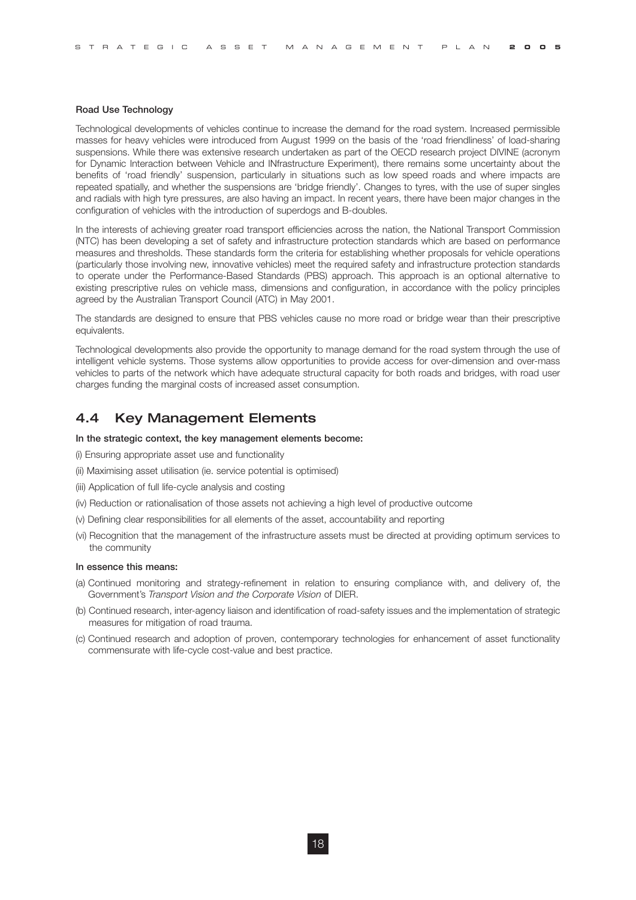#### **Road Use Technology**

Technological developments of vehicles continue to increase the demand for the road system. Increased permissible masses for heavy vehicles were introduced from August 1999 on the basis of the 'road friendliness' of load-sharing suspensions. While there was extensive research undertaken as part of the OECD research project DIVINE (acronym for Dynamic Interaction between Vehicle and INfrastructure Experiment), there remains some uncertainty about the benefits of 'road friendly' suspension, particularly in situations such as low speed roads and where impacts are repeated spatially, and whether the suspensions are 'bridge friendly'. Changes to tyres, with the use of super singles and radials with high tyre pressures, are also having an impact. In recent years, there have been major changes in the configuration of vehicles with the introduction of superdogs and B-doubles.

In the interests of achieving greater road transport efficiencies across the nation, the National Transport Commission (NTC) has been developing a set of safety and infrastructure protection standards which are based on performance measures and thresholds. These standards form the criteria for establishing whether proposals for vehicle operations (particularly those involving new, innovative vehicles) meet the required safety and infrastructure protection standards to operate under the Performance-Based Standards (PBS) approach. This approach is an optional alternative to existing prescriptive rules on vehicle mass, dimensions and configuration, in accordance with the policy principles agreed by the Australian Transport Council (ATC) in May 2001.

The standards are designed to ensure that PBS vehicles cause no more road or bridge wear than their prescriptive equivalents.

Technological developments also provide the opportunity to manage demand for the road system through the use of intelligent vehicle systems. Those systems allow opportunities to provide access for over-dimension and over-mass vehicles to parts of the network which have adequate structural capacity for both roads and bridges, with road user charges funding the marginal costs of increased asset consumption.

### 4.4 Key Management Elements

#### **In the strategic context, the key management elements become:**

- (i) Ensuring appropriate asset use and functionality
- (ii) Maximising asset utilisation (ie. service potential is optimised)
- (iii) Application of full life-cycle analysis and costing
- (iv) Reduction or rationalisation of those assets not achieving a high level of productive outcome
- (v) Defining clear responsibilities for all elements of the asset, accountability and reporting
- (vi) Recognition that the management of the infrastructure assets must be directed at providing optimum services to the community

#### **In essence this means:**

- (a) Continued monitoring and strategy-refinement in relation to ensuring compliance with, and delivery of, the Government's *Transport Vision and the Corporate Vision* of DIER.
- (b) Continued research, inter-agency liaison and identification of road-safety issues and the implementation of strategic measures for mitigation of road trauma.
- (c) Continued research and adoption of proven, contemporary technologies for enhancement of asset functionality commensurate with life-cycle cost-value and best practice.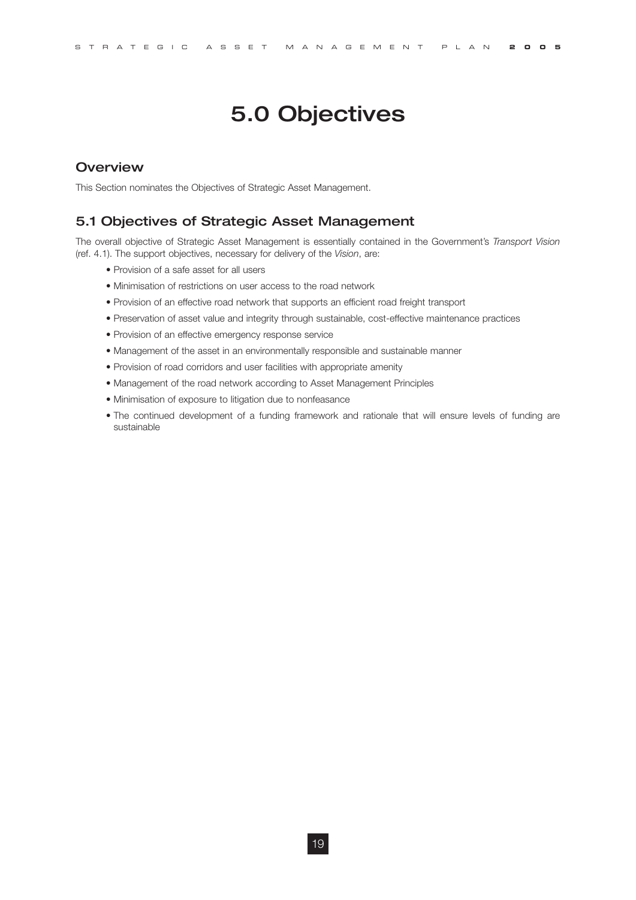# 5.0 Objectives

### **Overview**

This Section nominates the Objectives of Strategic Asset Management.

#### 5.1 Objectives of Strategic Asset Management

The overall objective of Strategic Asset Management is essentially contained in the Government's *Transport Vision*  (ref. 4.1). The support objectives, necessary for delivery of the *Vision*, are:

- Provision of a safe asset for all users
- Minimisation of restrictions on user access to the road network
- Provision of an effective road network that supports an efficient road freight transport
- Preservation of asset value and integrity through sustainable, cost-effective maintenance practices
- Provision of an effective emergency response service
- Management of the asset in an environmentally responsible and sustainable manner
- Provision of road corridors and user facilities with appropriate amenity
- Management of the road network according to Asset Management Principles
- Minimisation of exposure to litigation due to nonfeasance
- The continued development of a funding framework and rationale that will ensure levels of funding are sustainable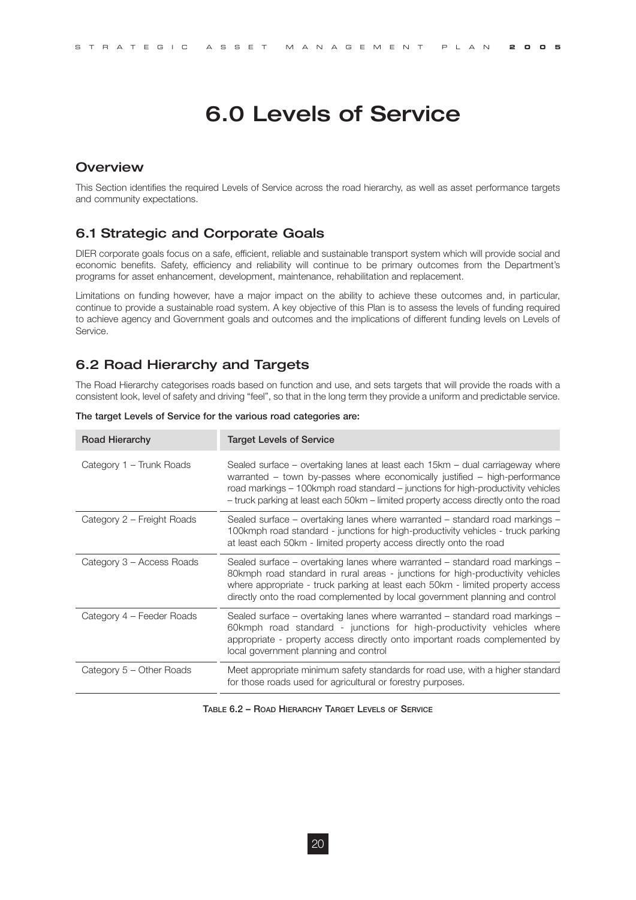# 6.0 Levels of Service

### **Overview**

This Section identifies the required Levels of Service across the road hierarchy, as well as asset performance targets and community expectations.

### 6.1 Strategic and Corporate Goals

DIER corporate goals focus on a safe, efficient, reliable and sustainable transport system which will provide social and economic benefits. Safety, efficiency and reliability will continue to be primary outcomes from the Department's programs for asset enhancement, development, maintenance, rehabilitation and replacement.

Limitations on funding however, have a major impact on the ability to achieve these outcomes and, in particular, continue to provide a sustainable road system. A key objective of this Plan is to assess the levels of funding required to achieve agency and Government goals and outcomes and the implications of different funding levels on Levels of Service.

### 6.2 Road Hierarchy and Targets

The Road Hierarchy categorises roads based on function and use, and sets targets that will provide the roads with a consistent look, level of safety and driving "feel", so that in the long term they provide a uniform and predictable service.

| <b>Road Hierarchy</b>      | <b>Target Levels of Service</b>                                                                                                                                                                                                                                                                                                        |
|----------------------------|----------------------------------------------------------------------------------------------------------------------------------------------------------------------------------------------------------------------------------------------------------------------------------------------------------------------------------------|
| Category 1 – Trunk Roads   | Sealed surface – overtaking lanes at least each 15km – dual carriageway where<br>warranted - town by-passes where economically justified - high-performance<br>road markings – 100kmph road standard – junctions for high-productivity vehicles<br>- truck parking at least each 50km - limited property access directly onto the road |
| Category 2 – Freight Roads | Sealed surface – overtaking lanes where warranted – standard road markings –<br>100kmph road standard - junctions for high-productivity vehicles - truck parking<br>at least each 50km - limited property access directly onto the road                                                                                                |
| Category 3 - Access Roads  | Sealed surface – overtaking lanes where warranted – standard road markings –<br>80kmph road standard in rural areas - junctions for high-productivity vehicles<br>where appropriate - truck parking at least each 50km - limited property access<br>directly onto the road complemented by local government planning and control       |
| Category 4 – Feeder Roads  | Sealed surface – overtaking lanes where warranted – standard road markings –<br>60kmph road standard - junctions for high-productivity vehicles where<br>appropriate - property access directly onto important roads complemented by<br>local government planning and control                                                          |
| Category 5 – Other Roads   | Meet appropriate minimum safety standards for road use, with a higher standard<br>for those roads used for agricultural or forestry purposes.                                                                                                                                                                                          |

**The target Levels of Service for the various road categories are:**

**TABLE 6.2 – ROAD HIERARCHY TARGET LEVELS OF SERVICE**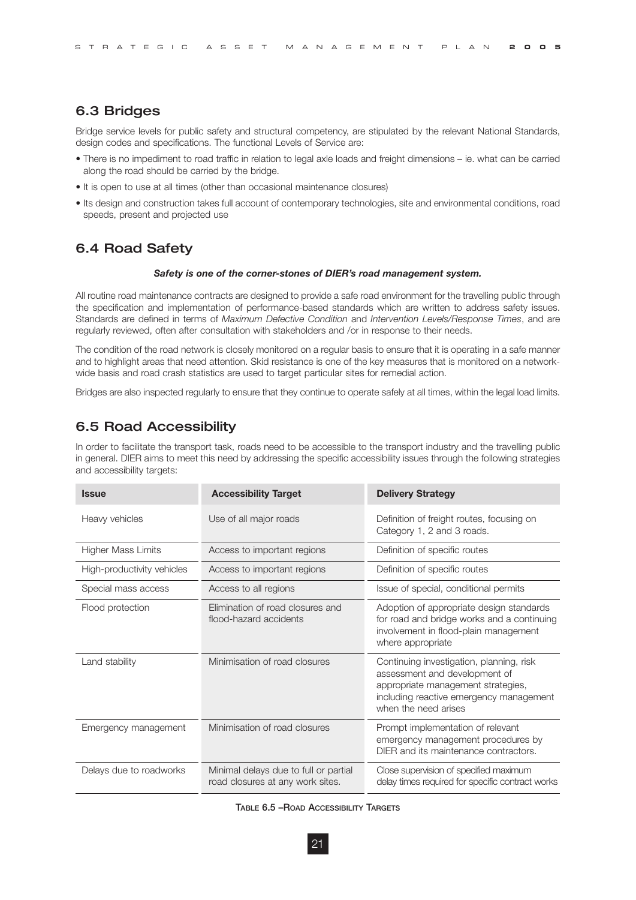### 6.3 Bridges

Bridge service levels for public safety and structural competency, are stipulated by the relevant National Standards, design codes and specifications. The functional Levels of Service are:

- There is no impediment to road traffic in relation to legal axle loads and freight dimensions ie. what can be carried along the road should be carried by the bridge.
- It is open to use at all times (other than occasional maintenance closures)
- Its design and construction takes full account of contemporary technologies, site and environmental conditions, road speeds, present and projected use

### 6.4 Road Safety

#### *Safety is one of the corner-stones of DIER's road management system.*

All routine road maintenance contracts are designed to provide a safe road environment for the travelling public through the specification and implementation of performance-based standards which are written to address safety issues. Standards are defined in terms of *Maximum Defective Condition* and *Intervention Levels/Response Times*, and are regularly reviewed, often after consultation with stakeholders and /or in response to their needs.

The condition of the road network is closely monitored on a regular basis to ensure that it is operating in a safe manner and to highlight areas that need attention. Skid resistance is one of the key measures that is monitored on a networkwide basis and road crash statistics are used to target particular sites for remedial action.

Bridges are also inspected regularly to ensure that they continue to operate safely at all times, within the legal load limits.

# 6.5 Road Accessibility

In order to facilitate the transport task, roads need to be accessible to the transport industry and the travelling public in general. DIER aims to meet this need by addressing the specific accessibility issues through the following strategies and accessibility targets:

| <b>Issue</b>               | <b>Accessibility Target</b>                                               | <b>Delivery Strategy</b>                                                                                                                                                           |
|----------------------------|---------------------------------------------------------------------------|------------------------------------------------------------------------------------------------------------------------------------------------------------------------------------|
| Heavy vehicles             | Use of all major roads                                                    | Definition of freight routes, focusing on<br>Category 1, 2 and 3 roads.                                                                                                            |
| Higher Mass Limits         | Access to important regions                                               | Definition of specific routes                                                                                                                                                      |
| High-productivity vehicles | Access to important regions                                               | Definition of specific routes                                                                                                                                                      |
| Special mass access        | Access to all regions                                                     | Issue of special, conditional permits                                                                                                                                              |
| Flood protection           | Elimination of road closures and<br>flood-hazard accidents                | Adoption of appropriate design standards<br>for road and bridge works and a continuing<br>involvement in flood-plain management<br>where appropriate                               |
| Land stability             | Minimisation of road closures                                             | Continuing investigation, planning, risk<br>assessment and development of<br>appropriate management strategies,<br>including reactive emergency management<br>when the need arises |
| Emergency management       | Minimisation of road closures                                             | Prompt implementation of relevant<br>emergency management procedures by<br>DIER and its maintenance contractors.                                                                   |
| Delays due to roadworks    | Minimal delays due to full or partial<br>road closures at any work sites. | Close supervision of specified maximum<br>delay times required for specific contract works                                                                                         |

| TABLE 6.5 - ROAD ACCESSIBILITY TARGETS |
|----------------------------------------|
|----------------------------------------|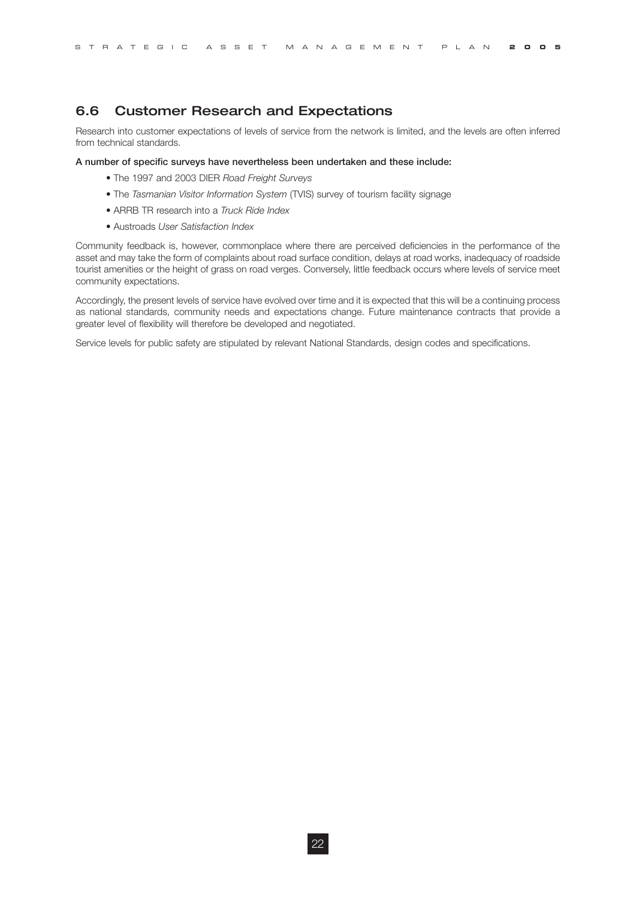# 6.6 Customer Research and Expectations

Research into customer expectations of levels of service from the network is limited, and the levels are often inferred from technical standards.

#### **A number of specific surveys have nevertheless been undertaken and these include:**

- The 1997 and 2003 DIER *Road Freight Surveys*
- The *Tasmanian Visitor Information System* (TVIS) survey of tourism facility signage
- ARRB TR research into a *Truck Ride Index*
- Austroads *User Satisfaction Index*

Community feedback is, however, commonplace where there are perceived deficiencies in the performance of the asset and may take the form of complaints about road surface condition, delays at road works, inadequacy of roadside tourist amenities or the height of grass on road verges. Conversely, little feedback occurs where levels of service meet community expectations.

Accordingly, the present levels of service have evolved over time and it is expected that this will be a continuing process as national standards, community needs and expectations change. Future maintenance contracts that provide a greater level of flexibility will therefore be developed and negotiated.

Service levels for public safety are stipulated by relevant National Standards, design codes and specifications.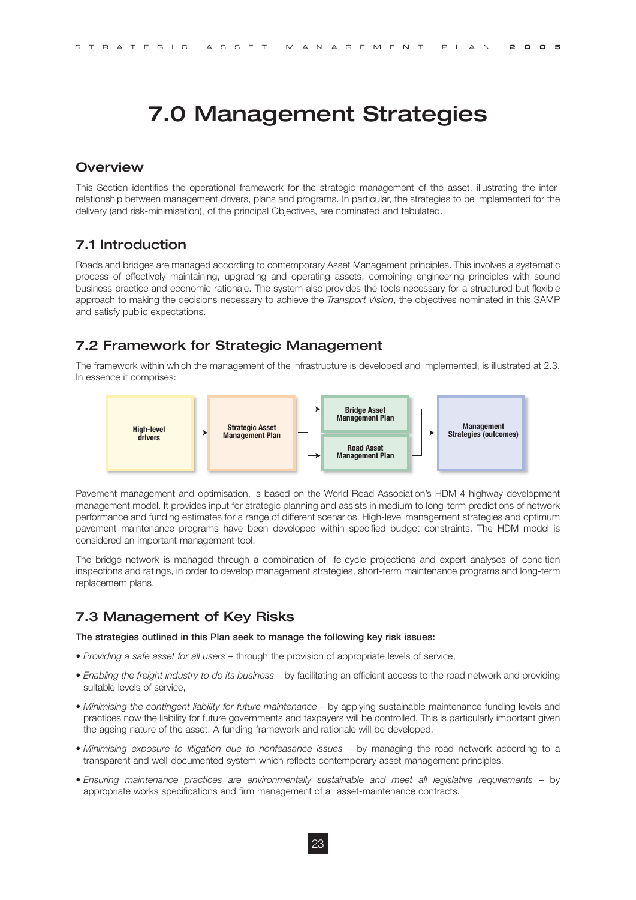# 7.0 Management Strategies

#### **Overview**

This Section identifies the operational framework for the strategic management of the asset, illustrating the interrelationship between management drivers, plans and programs. In particular, the strategies to be implemented for the delivery (and risk-minimisation), of the principal Objectives, are nominated and tabulated.

# 7.1 Introduction

Roads and bridges are managed according to contemporary Asset Management principles. This involves a systematic process of effectively maintaining, upgrading and operating assets, combining engineering principles with sound business practice and economic rationale. The system also provides the tools necessary for a structured but flexible approach to making the decisions necessary to achieve the *Transport Vision*, the objectives nominated in this SAMP and satisfy public expectations.

### 7.2 Framework for Strategic Management

The framework within which the management of the infrastructure is developed and implemented, is illustrated at 2.3. In essence it comprises:



Pavement management and optimisation, is based on the World Road Association's HDM-4 highway development management model. It provides input for strategic planning and assists in medium to long-term predictions of network performance and funding estimates for a range of different scenarios. High-level management strategies and optimum pavement maintenance programs have been developed within specified budget constraints. The HDM model is considered an important management tool.

The bridge network is managed through a combination of life-cycle projections and expert analyses of condition inspections and ratings, in order to develop management strategies, short-term maintenance programs and long-term replacement plans.

## 7.3 Management of Key Risks

**The strategies outlined in this Plan seek to manage the following key risk issues:**

- *Providing a safe asset for all users* through the provision of appropriate levels of service,
- *Enabling the freight industry to do its business*  by facilitating an efficient access to the road network and providing suitable levels of service,
- *Minimising the contingent liability for future maintenance by applying sustainable maintenance funding levels and* practices now the liability for future governments and taxpayers will be controlled. This is particularly important given the ageing nature of the asset. A funding framework and rationale will be developed.
- *Minimising exposure to litigation due to nonfeasance issues*  by managing the road network according to a transparent and well-documented system which reflects contemporary asset management principles.
- *Ensuring maintenance practices are environmentally sustainable and meet all legislative requirements*  by appropriate works specifications and firm management of all asset-maintenance contracts.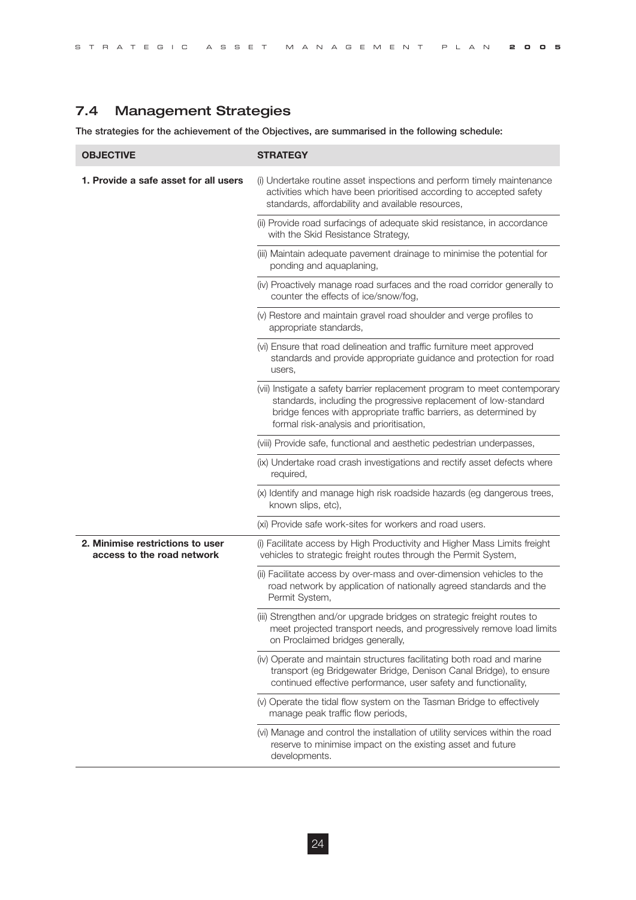STRATEGIC ASSET MAN AGEMENT PL AN **2005**

# 7.4 Management Strategies

**The strategies for the achievement of the Objectives, are summarised in the following schedule:**

| <b>OBJECTIVE</b>                                               | <b>STRATEGY</b>                                                                                                                                                                                                                                                |
|----------------------------------------------------------------|----------------------------------------------------------------------------------------------------------------------------------------------------------------------------------------------------------------------------------------------------------------|
| 1. Provide a safe asset for all users                          | (i) Undertake routine asset inspections and perform timely maintenance<br>activities which have been prioritised according to accepted safety<br>standards, affordability and available resources,                                                             |
|                                                                | (ii) Provide road surfacings of adequate skid resistance, in accordance<br>with the Skid Resistance Strategy,                                                                                                                                                  |
|                                                                | (iii) Maintain adequate pavement drainage to minimise the potential for<br>ponding and aquaplaning,                                                                                                                                                            |
|                                                                | (iv) Proactively manage road surfaces and the road corridor generally to<br>counter the effects of ice/snow/fog,                                                                                                                                               |
|                                                                | (v) Restore and maintain gravel road shoulder and verge profiles to<br>appropriate standards,                                                                                                                                                                  |
|                                                                | (vi) Ensure that road delineation and traffic furniture meet approved<br>standards and provide appropriate guidance and protection for road<br>users,                                                                                                          |
|                                                                | (vii) Instigate a safety barrier replacement program to meet contemporary<br>standards, including the progressive replacement of low-standard<br>bridge fences with appropriate traffic barriers, as determined by<br>formal risk-analysis and prioritisation, |
|                                                                | (viii) Provide safe, functional and aesthetic pedestrian underpasses,                                                                                                                                                                                          |
|                                                                | (ix) Undertake road crash investigations and rectify asset defects where<br>required,                                                                                                                                                                          |
|                                                                | (x) Identify and manage high risk roadside hazards (eg dangerous trees,<br>known slips, etc),                                                                                                                                                                  |
|                                                                | (xi) Provide safe work-sites for workers and road users.                                                                                                                                                                                                       |
| 2. Minimise restrictions to user<br>access to the road network | (i) Facilitate access by High Productivity and Higher Mass Limits freight<br>vehicles to strategic freight routes through the Permit System,                                                                                                                   |
|                                                                | (ii) Facilitate access by over-mass and over-dimension vehicles to the<br>road network by application of nationally agreed standards and the<br>Permit System,                                                                                                 |
|                                                                | (iii) Strengthen and/or upgrade bridges on strategic freight routes to<br>meet projected transport needs, and progressively remove load limits<br>on Proclaimed bridges generally,                                                                             |
|                                                                | (iv) Operate and maintain structures facilitating both road and marine<br>transport (eg Bridgewater Bridge, Denison Canal Bridge), to ensure<br>continued effective performance, user safety and functionality,                                                |
|                                                                | (v) Operate the tidal flow system on the Tasman Bridge to effectively<br>manage peak traffic flow periods,                                                                                                                                                     |
|                                                                | (vi) Manage and control the installation of utility services within the road<br>reserve to minimise impact on the existing asset and future<br>developments.                                                                                                   |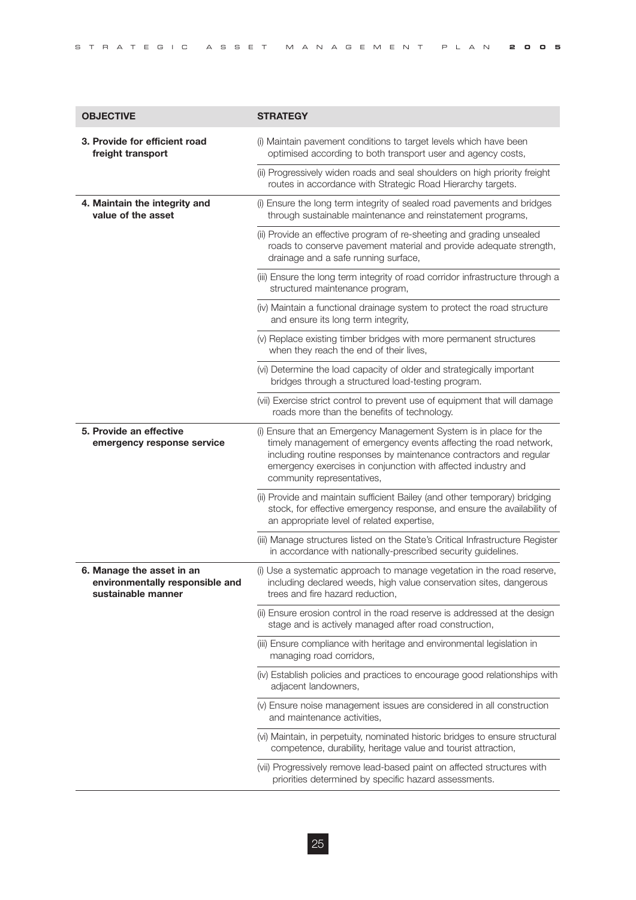| <b>OBJECTIVE</b>                                                                   | <b>STRATEGY</b>                                                                                                                                                                                                                                                                                              |
|------------------------------------------------------------------------------------|--------------------------------------------------------------------------------------------------------------------------------------------------------------------------------------------------------------------------------------------------------------------------------------------------------------|
| 3. Provide for efficient road<br>freight transport                                 | (i) Maintain pavement conditions to target levels which have been<br>optimised according to both transport user and agency costs,                                                                                                                                                                            |
|                                                                                    | (ii) Progressively widen roads and seal shoulders on high priority freight<br>routes in accordance with Strategic Road Hierarchy targets.                                                                                                                                                                    |
| 4. Maintain the integrity and<br>value of the asset                                | (i) Ensure the long term integrity of sealed road pavements and bridges<br>through sustainable maintenance and reinstatement programs,                                                                                                                                                                       |
|                                                                                    | (ii) Provide an effective program of re-sheeting and grading unsealed<br>roads to conserve pavement material and provide adequate strength,<br>drainage and a safe running surface,                                                                                                                          |
|                                                                                    | (iii) Ensure the long term integrity of road corridor infrastructure through a<br>structured maintenance program,                                                                                                                                                                                            |
|                                                                                    | (iv) Maintain a functional drainage system to protect the road structure<br>and ensure its long term integrity,                                                                                                                                                                                              |
|                                                                                    | (v) Replace existing timber bridges with more permanent structures<br>when they reach the end of their lives,                                                                                                                                                                                                |
|                                                                                    | (vi) Determine the load capacity of older and strategically important<br>bridges through a structured load-testing program.                                                                                                                                                                                  |
|                                                                                    | (vii) Exercise strict control to prevent use of equipment that will damage<br>roads more than the benefits of technology.                                                                                                                                                                                    |
| 5. Provide an effective<br>emergency response service                              | (i) Ensure that an Emergency Management System is in place for the<br>timely management of emergency events affecting the road network,<br>including routine responses by maintenance contractors and regular<br>emergency exercises in conjunction with affected industry and<br>community representatives, |
|                                                                                    | (ii) Provide and maintain sufficient Bailey (and other temporary) bridging<br>stock, for effective emergency response, and ensure the availability of<br>an appropriate level of related expertise,                                                                                                          |
|                                                                                    | (iii) Manage structures listed on the State's Critical Infrastructure Register<br>in accordance with nationally-prescribed security guidelines.                                                                                                                                                              |
| 6. Manage the asset in an<br>environmentally responsible and<br>sustainable manner | (i) Use a systematic approach to manage vegetation in the road reserve,<br>including declared weeds, high value conservation sites, dangerous<br>trees and fire hazard reduction,                                                                                                                            |
|                                                                                    | (ii) Ensure erosion control in the road reserve is addressed at the design<br>stage and is actively managed after road construction,                                                                                                                                                                         |
|                                                                                    | (iii) Ensure compliance with heritage and environmental legislation in<br>managing road corridors,                                                                                                                                                                                                           |
|                                                                                    | (iv) Establish policies and practices to encourage good relationships with<br>adjacent landowners,                                                                                                                                                                                                           |
|                                                                                    | (v) Ensure noise management issues are considered in all construction<br>and maintenance activities,                                                                                                                                                                                                         |
|                                                                                    | (vi) Maintain, in perpetuity, nominated historic bridges to ensure structural<br>competence, durability, heritage value and tourist attraction,                                                                                                                                                              |
|                                                                                    | (vii) Progressively remove lead-based paint on affected structures with<br>priorities determined by specific hazard assessments.                                                                                                                                                                             |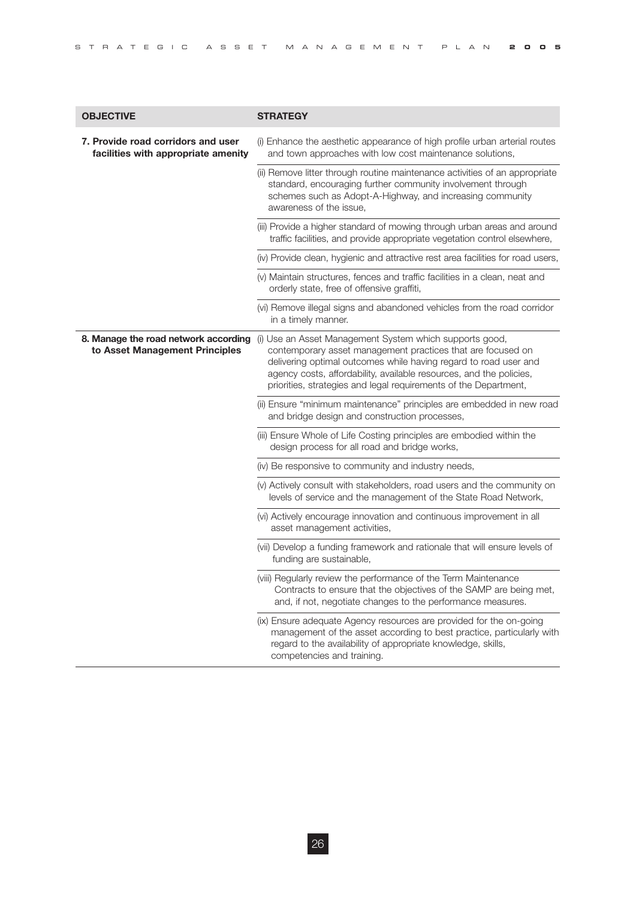| <b>OBJECTIVE</b>                                                          | <b>STRATEGY</b>                                                                                                                                                                                                                                                                                                                       |
|---------------------------------------------------------------------------|---------------------------------------------------------------------------------------------------------------------------------------------------------------------------------------------------------------------------------------------------------------------------------------------------------------------------------------|
| 7. Provide road corridors and user<br>facilities with appropriate amenity | (i) Enhance the aesthetic appearance of high profile urban arterial routes<br>and town approaches with low cost maintenance solutions,                                                                                                                                                                                                |
|                                                                           | (ii) Remove litter through routine maintenance activities of an appropriate<br>standard, encouraging further community involvement through<br>schemes such as Adopt-A-Highway, and increasing community<br>awareness of the issue.                                                                                                    |
|                                                                           | (iii) Provide a higher standard of mowing through urban areas and around<br>traffic facilities, and provide appropriate vegetation control elsewhere,                                                                                                                                                                                 |
|                                                                           | (iv) Provide clean, hygienic and attractive rest area facilities for road users,                                                                                                                                                                                                                                                      |
|                                                                           | (v) Maintain structures, fences and traffic facilities in a clean, neat and<br>orderly state, free of offensive graffiti,                                                                                                                                                                                                             |
|                                                                           | (vi) Remove illegal signs and abandoned vehicles from the road corridor<br>in a timely manner.                                                                                                                                                                                                                                        |
| 8. Manage the road network according<br>to Asset Management Principles    | (i) Use an Asset Management System which supports good,<br>contemporary asset management practices that are focused on<br>delivering optimal outcomes while having regard to road user and<br>agency costs, affordability, available resources, and the policies,<br>priorities, strategies and legal requirements of the Department, |
|                                                                           | (ii) Ensure "minimum maintenance" principles are embedded in new road<br>and bridge design and construction processes,                                                                                                                                                                                                                |
|                                                                           | (iii) Ensure Whole of Life Costing principles are embodied within the<br>design process for all road and bridge works,                                                                                                                                                                                                                |
|                                                                           | (iv) Be responsive to community and industry needs,                                                                                                                                                                                                                                                                                   |
|                                                                           | (v) Actively consult with stakeholders, road users and the community on<br>levels of service and the management of the State Road Network,                                                                                                                                                                                            |
|                                                                           | (vi) Actively encourage innovation and continuous improvement in all<br>asset management activities,                                                                                                                                                                                                                                  |
|                                                                           | (vii) Develop a funding framework and rationale that will ensure levels of<br>funding are sustainable,                                                                                                                                                                                                                                |
|                                                                           | (viii) Regularly review the performance of the Term Maintenance<br>Contracts to ensure that the objectives of the SAMP are being met,<br>and, if not, negotiate changes to the performance measures.                                                                                                                                  |
|                                                                           | (ix) Ensure adequate Agency resources are provided for the on-going<br>management of the asset according to best practice, particularly with<br>regard to the availability of appropriate knowledge, skills,<br>competencies and training.                                                                                            |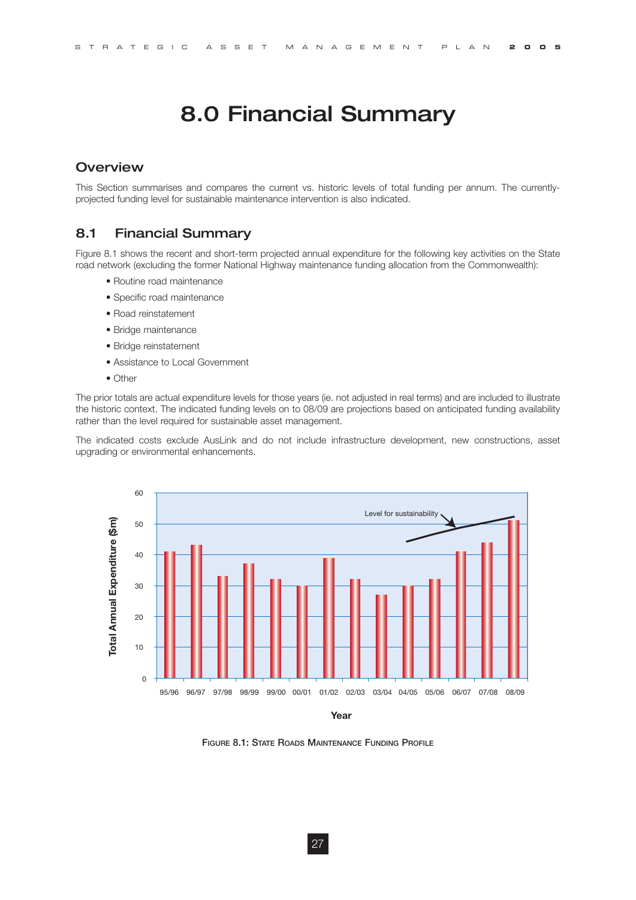# 8.0 Financial Summary

### **Overview**

This Section summarises and compares the current vs. historic levels of total funding per annum. The currentlyprojected funding level for sustainable maintenance intervention is also indicated.

## 8.1 Financial Summary

Figure 8.1 shows the recent and short-term projected annual expenditure for the following key activities on the State road network (excluding the former National Highway maintenance funding allocation from the Commonwealth):

- Routine road maintenance
- Specific road maintenance
- Road reinstatement
- Bridge maintenance
- Bridge reinstatement
- Assistance to Local Government
- Other

The prior totals are actual expenditure levels for those years (ie. not adjusted in real terms) and are included to illustrate the historic context. The indicated funding levels on to 08/09 are projections based on anticipated funding availability rather than the level required for sustainable asset management.

The indicated costs exclude AusLink and do not include infrastructure development, new constructions, asset upgrading or environmental enhancements.



**FIGURE 8.1: STATE ROADS MAINTENANCE FUNDING PROFILE**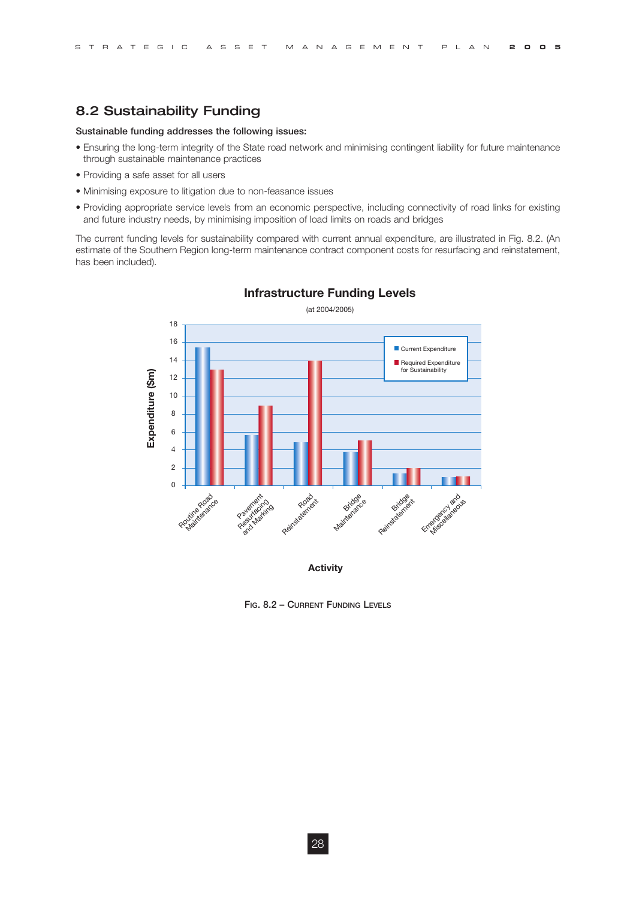# 8.2 Sustainability Funding

#### **Sustainable funding addresses the following issues:**

- Ensuring the long-term integrity of the State road network and minimising contingent liability for future maintenance through sustainable maintenance practices
- Providing a safe asset for all users
- Minimising exposure to litigation due to non-feasance issues
- Providing appropriate service levels from an economic perspective, including connectivity of road links for existing and future industry needs, by minimising imposition of load limits on roads and bridges

The current funding levels for sustainability compared with current annual expenditure, are illustrated in Fig. 8.2. (An estimate of the Southern Region long-term maintenance contract component costs for resurfacing and reinstatement, has been included).



#### **Infrastructure Funding Levels**

**FIG. 8.2 – CURRENT FUNDING LEVELS**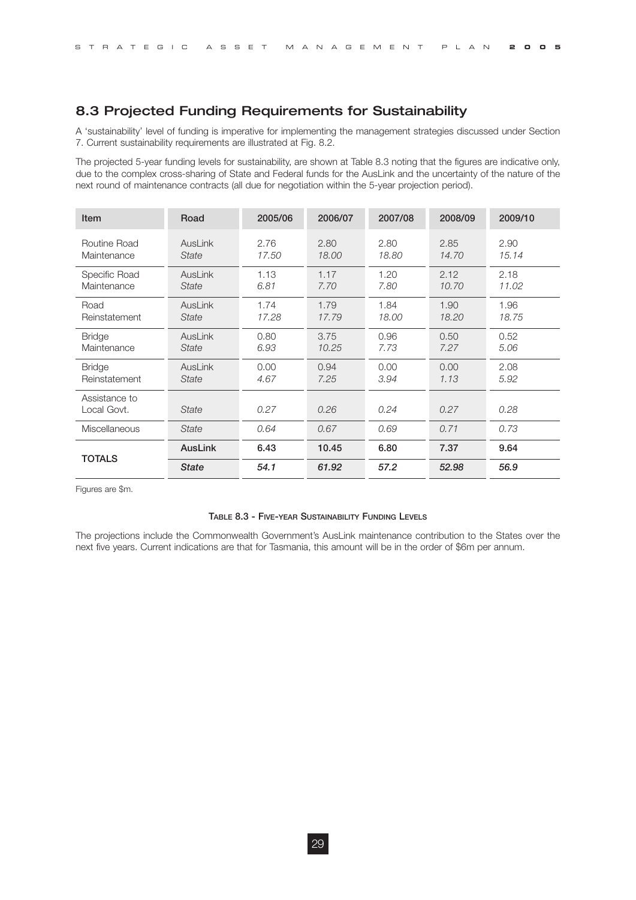# 8.3 Projected Funding Requirements for Sustainability

A 'sustainability' level of funding is imperative for implementing the management strategies discussed under Section 7. Current sustainability requirements are illustrated at Fig. 8.2.

The projected 5-year funding levels for sustainability, are shown at Table 8.3 noting that the figures are indicative only, due to the complex cross-sharing of State and Federal funds for the AusLink and the uncertainty of the nature of the next round of maintenance contracts (all due for negotiation within the 5-year projection period).

| <b>Item</b>                  | Road           | 2005/06 | 2006/07 | 2007/08 | 2008/09 | 2009/10 |
|------------------------------|----------------|---------|---------|---------|---------|---------|
| Routine Road                 | <b>AusLink</b> | 2.76    | 2.80    | 2.80    | 2.85    | 2.90    |
| Maintenance                  | State          | 17.50   | 18.00   | 18.80   | 14.70   | 15.14   |
| Specific Road                | AusLink        | 1.13    | 1.17    | 1.20    | 2.12    | 2.18    |
| Maintenance                  | State          | 6.81    | 7.70    | 7.80    | 10.70   | 11.02   |
| Road                         | AusLink        | 1.74    | 1.79    | 1.84    | 1.90    | 1.96    |
| Reinstatement                | State          | 17.28   | 17.79   | 18.00   | 18.20   | 18.75   |
| <b>Bridge</b>                | <b>AusLink</b> | 0.80    | 3.75    | 0.96    | 0.50    | 0.52    |
| Maintenance                  | <b>State</b>   | 6.93    | 10.25   | 7.73    | 7.27    | 5.06    |
| <b>Bridge</b>                | <b>AusLink</b> | 0.00    | 0.94    | 0.00    | 0.00    | 2.08    |
| Reinstatement                | State          | 4.67    | 7.25    | 3.94    | 1.13    | 5.92    |
| Assistance to<br>Local Govt. | <b>State</b>   | 0.27    | 0.26    | 0.24    | 0.27    | 0.28    |
| <b>Miscellaneous</b>         | <b>State</b>   | 0.64    | 0.67    | 0.69    | 0.71    | 0.73    |
|                              | <b>AusLink</b> | 6.43    | 10.45   | 6.80    | 7.37    | 9.64    |
| <b>TOTALS</b>                | <b>State</b>   | 54.1    | 61.92   | 57.2    | 52.98   | 56.9    |

Figures are \$m.

#### **TABLE 8.3 - FIVE-YEAR SUSTAINABILITY FUNDING LEVELS**

The projections include the Commonwealth Government's AusLink maintenance contribution to the States over the next five years. Current indications are that for Tasmania, this amount will be in the order of \$6m per annum.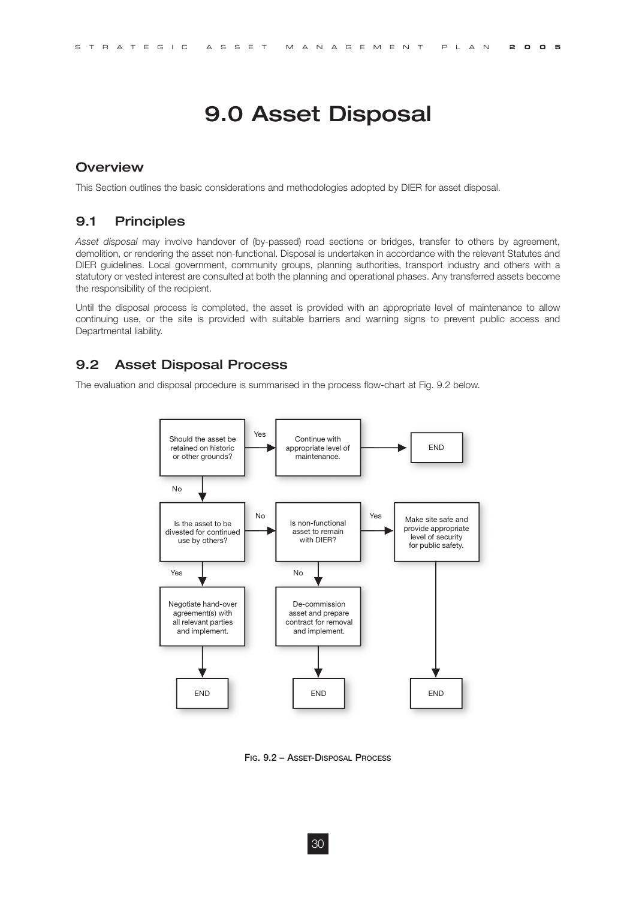# 9.0 Asset Disposal

#### **Overview**

This Section outlines the basic considerations and methodologies adopted by DIER for asset disposal.

### 9.1 Principles

*Asset disposal* may involve handover of (by-passed) road sections or bridges, transfer to others by agreement, demolition, or rendering the asset non-functional. Disposal is undertaken in accordance with the relevant Statutes and DIER guidelines. Local government, community groups, planning authorities, transport industry and others with a statutory or vested interest are consulted at both the planning and operational phases. Any transferred assets become the responsibility of the recipient.

Until the disposal process is completed, the asset is provided with an appropriate level of maintenance to allow continuing use, or the site is provided with suitable barriers and warning signs to prevent public access and Departmental liability.

# 9.2 Asset Disposal Process

The evaluation and disposal procedure is summarised in the process flow-chart at Fig. 9.2 below.



**FIG. 9.2 – ASSET-DISPOSAL PROCESS**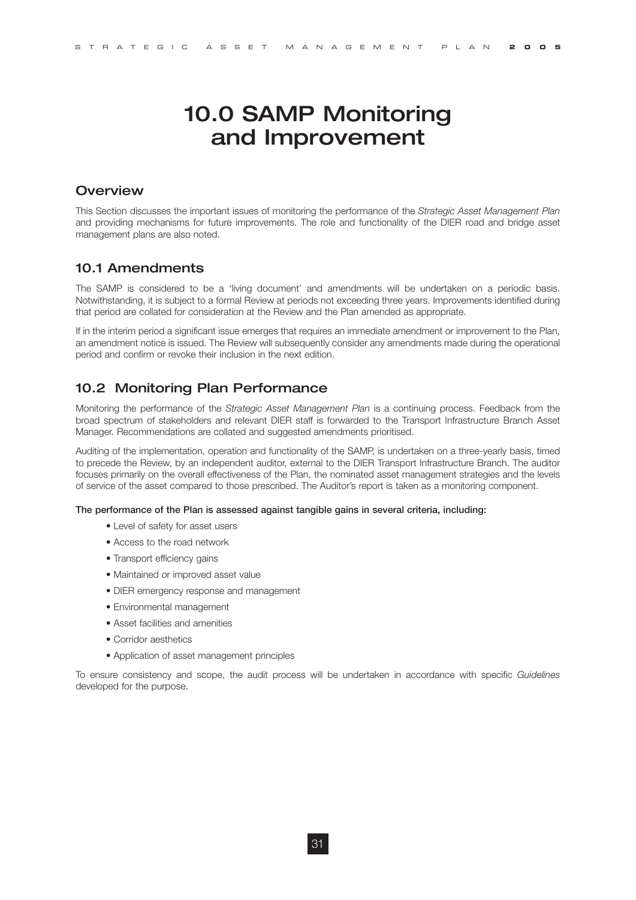# 10.0 SAMP Monitoring and Improvement

### **Overview**

This Section discusses the important issues of monitoring the performance of the *Strategic Asset Management Plan* and providing mechanisms for future improvements. The role and functionality of the DIER road and bridge asset management plans are also noted.

### 10.1 Amendments

The SAMP is considered to be a 'living document' and amendments will be undertaken on a periodic basis. Notwithstanding, it is subject to a formal Review at periods not exceeding three years. Improvements identified during that period are collated for consideration at the Review and the Plan amended as appropriate.

If in the interim period a significant issue emerges that requires an immediate amendment or improvement to the Plan, an amendment notice is issued. The Review will subsequently consider any amendments made during the operational period and confirm or revoke their inclusion in the next edition.

# 10.2 Monitoring Plan Performance

Monitoring the performance of the *Strategic Asset Management Plan* is a continuing process. Feedback from the broad spectrum of stakeholders and relevant DIER staff is forwarded to the Transport Infrastructure Branch Asset Manager. Recommendations are collated and suggested amendments prioritised.

Auditing of the implementation, operation and functionality of the SAMP, is undertaken on a three-yearly basis, timed to precede the Review, by an independent auditor, external to the DIER Transport Infrastructure Branch. The auditor focuses primarily on the overall effectiveness of the Plan, the nominated asset management strategies and the levels of service of the asset compared to those prescribed. The Auditor's report is taken as a monitoring component.

#### **The performance of the Plan is assessed against tangible gains in several criteria, including:**

- Level of safety for asset users
- Access to the road network
- Transport efficiency gains
- Maintained or improved asset value
- DIER emergency response and management
- Environmental management
- Asset facilities and amenities
- Corridor aesthetics
- Application of asset management principles

To ensure consistency and scope, the audit process will be undertaken in accordance with specific *Guidelines* developed for the purpose.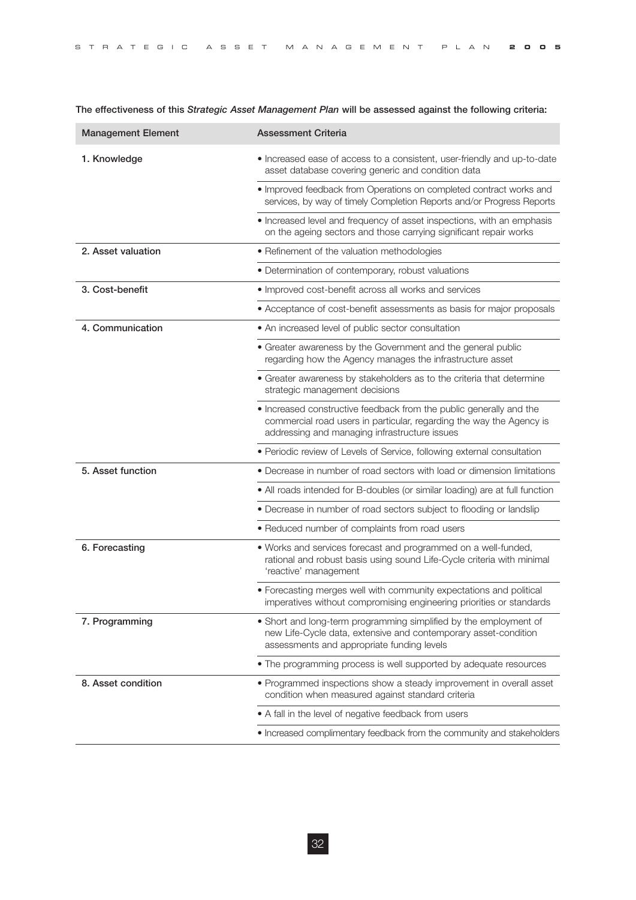| STRATEGIC ASSET MANAGEMENT PLAN <b>2005</b> |  |
|---------------------------------------------|--|
|---------------------------------------------|--|

| <b>Management Element</b> | <b>Assessment Criteria</b>                                                                                                                                                                   |
|---------------------------|----------------------------------------------------------------------------------------------------------------------------------------------------------------------------------------------|
| 1. Knowledge              | • Increased ease of access to a consistent, user-friendly and up-to-date<br>asset database covering generic and condition data                                                               |
|                           | . Improved feedback from Operations on completed contract works and<br>services, by way of timely Completion Reports and/or Progress Reports                                                 |
|                           | • Increased level and frequency of asset inspections, with an emphasis<br>on the ageing sectors and those carrying significant repair works                                                  |
| 2. Asset valuation        | • Refinement of the valuation methodologies                                                                                                                                                  |
|                           | • Determination of contemporary, robust valuations                                                                                                                                           |
| 3. Cost-benefit           | • Improved cost-benefit across all works and services                                                                                                                                        |
|                           | • Acceptance of cost-benefit assessments as basis for major proposals                                                                                                                        |
| 4. Communication          | • An increased level of public sector consultation                                                                                                                                           |
|                           | • Greater awareness by the Government and the general public<br>regarding how the Agency manages the infrastructure asset                                                                    |
|                           | • Greater awareness by stakeholders as to the criteria that determine<br>strategic management decisions                                                                                      |
|                           | . Increased constructive feedback from the public generally and the<br>commercial road users in particular, regarding the way the Agency is<br>addressing and managing infrastructure issues |
|                           | • Periodic review of Levels of Service, following external consultation                                                                                                                      |
| 5. Asset function         | • Decrease in number of road sectors with load or dimension limitations                                                                                                                      |
|                           | • All roads intended for B-doubles (or similar loading) are at full function                                                                                                                 |
|                           | • Decrease in number of road sectors subject to flooding or landslip                                                                                                                         |
|                           | • Reduced number of complaints from road users                                                                                                                                               |
| 6. Forecasting            | . Works and services forecast and programmed on a well-funded,<br>rational and robust basis using sound Life-Cycle criteria with minimal<br>'reactive' management                            |
|                           | • Forecasting merges well with community expectations and political<br>imperatives without compromising engineering priorities or standards                                                  |
| 7. Programming            | • Short and long-term programming simplified by the employment of<br>new Life-Cycle data, extensive and contemporary asset-condition<br>assessments and appropriate funding levels           |
|                           | • The programming process is well supported by adequate resources                                                                                                                            |
| 8. Asset condition        | • Programmed inspections show a steady improvement in overall asset<br>condition when measured against standard criteria                                                                     |
|                           | • A fall in the level of negative feedback from users                                                                                                                                        |
|                           | . Increased complimentary feedback from the community and stakeholders                                                                                                                       |

**The effectiveness of this** *Strategic Asset Management Plan* **will be assessed against the following criteria:**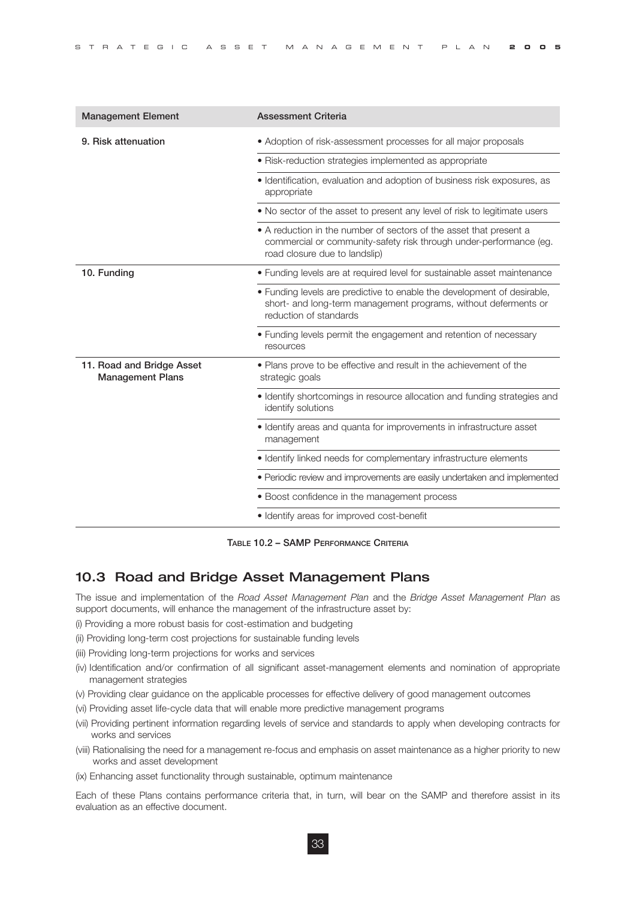| <b>Management Element</b>                            | <b>Assessment Criteria</b>                                                                                                                                                |
|------------------------------------------------------|---------------------------------------------------------------------------------------------------------------------------------------------------------------------------|
| 9. Risk attenuation                                  | • Adoption of risk-assessment processes for all major proposals                                                                                                           |
|                                                      | · Risk-reduction strategies implemented as appropriate                                                                                                                    |
|                                                      | · Identification, evaluation and adoption of business risk exposures, as<br>appropriate                                                                                   |
|                                                      | • No sector of the asset to present any level of risk to legitimate users                                                                                                 |
|                                                      | • A reduction in the number of sectors of the asset that present a<br>commercial or community-safety risk through under-performance (eg.<br>road closure due to landslip) |
| 10. Funding                                          | • Funding levels are at required level for sustainable asset maintenance                                                                                                  |
|                                                      | • Funding levels are predictive to enable the development of desirable,<br>short- and long-term management programs, without deferments or<br>reduction of standards      |
|                                                      | • Funding levels permit the engagement and retention of necessary<br>resources                                                                                            |
| 11. Road and Bridge Asset<br><b>Management Plans</b> | • Plans prove to be effective and result in the achievement of the<br>strategic goals                                                                                     |
|                                                      | · Identify shortcomings in resource allocation and funding strategies and<br>identify solutions                                                                           |
|                                                      | · Identify areas and quanta for improvements in infrastructure asset<br>management                                                                                        |
|                                                      | · Identify linked needs for complementary infrastructure elements                                                                                                         |
|                                                      | • Periodic review and improvements are easily undertaken and implemented                                                                                                  |
|                                                      | • Boost confidence in the management process                                                                                                                              |
|                                                      | · Identify areas for improved cost-benefit                                                                                                                                |

**TABLE 10.2 – SAMP PERFORMANCE CRITERIA**

#### 10.3 Road and Bridge Asset Management Plans

The issue and implementation of the *Road Asset Management Plan* and the *Bridge Asset Management Plan* as support documents, will enhance the management of the infrastructure asset by:

- (i) Providing a more robust basis for cost-estimation and budgeting
- (ii) Providing long-term cost projections for sustainable funding levels
- (iii) Providing long-term projections for works and services
- (iv) Identification and/or confirmation of all significant asset-management elements and nomination of appropriate management strategies
- (v) Providing clear guidance on the applicable processes for effective delivery of good management outcomes
- (vi) Providing asset life-cycle data that will enable more predictive management programs
- (vii) Providing pertinent information regarding levels of service and standards to apply when developing contracts for works and services
- (viii) Rationalising the need for a management re-focus and emphasis on asset maintenance as a higher priority to new works and asset development
- (ix) Enhancing asset functionality through sustainable, optimum maintenance

Each of these Plans contains performance criteria that, in turn, will bear on the SAMP and therefore assist in its evaluation as an effective document.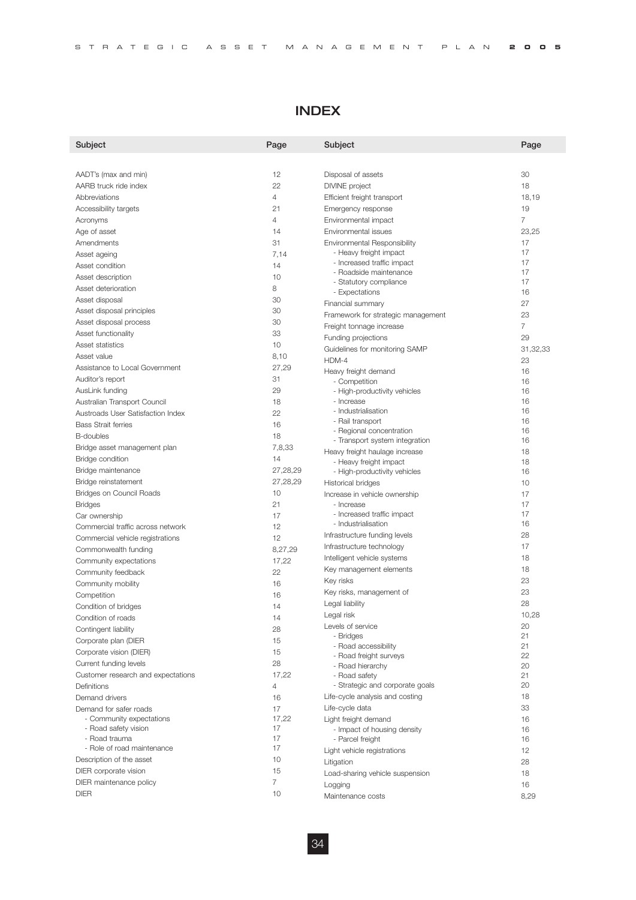| STRATEGIC ASSET MANAGEMENT PLAN <b>2005</b> |
|---------------------------------------------|
|---------------------------------------------|

# INDEX

| Subject                                     | Page     | Subject                                           | Page     |
|---------------------------------------------|----------|---------------------------------------------------|----------|
|                                             |          |                                                   |          |
| AADT's (max and min)                        | 12       | Disposal of assets                                | 30       |
| AARB truck ride index                       | 22       | <b>DIVINE</b> project                             | 18       |
| Abbreviations                               | 4        | Efficient freight transport                       | 18,19    |
| Accessibility targets                       | 21       | Emergency response                                | 19       |
| Acronyms                                    | 4        | Environmental impact                              | 7        |
| Age of asset                                | 14       | Environmental issues                              | 23,25    |
| Amendments                                  | 31       | Environmental Responsibility                      | 17       |
| Asset ageing                                | 7,14     | - Heavy freight impact                            | 17       |
| Asset condition                             | 14       | - Increased traffic impact                        | 17       |
| Asset description                           | 10       | - Roadside maintenance                            | 17       |
| Asset deterioration                         | 8        | - Statutory compliance                            | 17       |
| Asset disposal                              | 30       | - Expectations                                    | 16       |
| Asset disposal principles                   | 30       | Financial summary                                 | 27<br>23 |
| Asset disposal process                      | 30       | Framework for strategic management                |          |
| Asset functionality                         | 33       | Freight tonnage increase                          | 7        |
| Asset statistics                            | 10       | Funding projections                               | 29       |
| Asset value                                 | 8,10     | Guidelines for monitoring SAMP                    | 31,32,33 |
| Assistance to Local Government              | 27,29    | HDM-4                                             | 23       |
| Auditor's report                            | 31       | Heavy freight demand                              | 16       |
| AusLink funding                             | 29       | - Competition                                     | 16<br>16 |
| Australian Transport Council                | 18       | - High-productivity vehicles<br>- Increase        | 16       |
| Austroads User Satisfaction Index           | 22       | - Industrialisation                               | 16       |
| <b>Bass Strait ferries</b>                  | 16       | - Rail transport                                  | 16       |
|                                             | 18       | - Regional concentration                          | 16       |
| <b>B-doubles</b>                            |          | - Transport system integration                    | 16       |
| Bridge asset management plan                | 7,8,33   | Heavy freight haulage increase                    | 18       |
| Bridge condition                            | 14       | - Heavy freight impact                            | 18       |
| Bridge maintenance                          | 27,28,29 | - High-productivity vehicles                      | 16       |
| Bridge reinstatement                        | 27,28,29 | Historical bridges                                | 10       |
| Bridges on Council Roads                    | 10       | Increase in vehicle ownership                     | 17       |
| <b>Bridges</b>                              | 21       | - Increase                                        | 17<br>17 |
| Car ownership                               | 17       | - Increased traffic impact<br>- Industrialisation | 16       |
| Commercial traffic across network           | 12       | Infrastructure funding levels                     | 28       |
| Commercial vehicle registrations            | 12       | Infrastructure technology                         | 17       |
| Commonwealth funding                        | 8,27,29  | Intelligent vehicle systems                       | 18       |
| Community expectations                      | 17,22    | Key management elements                           | 18       |
| Community feedback                          | 22       | Key risks                                         | 23       |
| Community mobility                          | 16       | Key risks, management of                          | 23       |
| Competition                                 | 16       | Legal liability                                   | 28       |
| Condition of bridges                        | 14       | Legal risk                                        | 10,28    |
| Condition of roads                          | 14       |                                                   | 20       |
| Contingent liability                        | 28       | Levels of service<br>- Bridges                    | 21       |
| Corporate plan (DIER                        | 15       | - Road accessibility                              | 21       |
| Corporate vision (DIER)                     | 15       | - Road freight surveys                            | 22       |
| Current funding levels                      | 28       | - Road hierarchy                                  | 20       |
| Customer research and expectations          | 17,22    | - Road safety                                     | 21       |
| Definitions                                 | 4        | - Strategic and corporate goals                   | 20       |
| Demand drivers                              | 16       | Life-cycle analysis and costing                   | 18       |
| Demand for safer roads                      | 17       | Life-cycle data                                   | 33       |
| - Community expectations                    | 17,22    | Light freight demand                              | 16       |
| - Road safety vision                        | 17       | - Impact of housing density                       | 16       |
| - Road trauma<br>- Role of road maintenance | 17<br>17 | - Parcel freight                                  | 16       |
| Description of the asset                    | 10       | Light vehicle registrations                       | 12       |
|                                             | 15       | Litigation                                        | 28       |
| DIER corporate vision                       | 7        | Load-sharing vehicle suspension                   | 18       |
| DIER maintenance policy                     |          | Logging                                           | 16       |
| <b>DIER</b>                                 | 10       | Maintenance costs                                 | 8,29     |